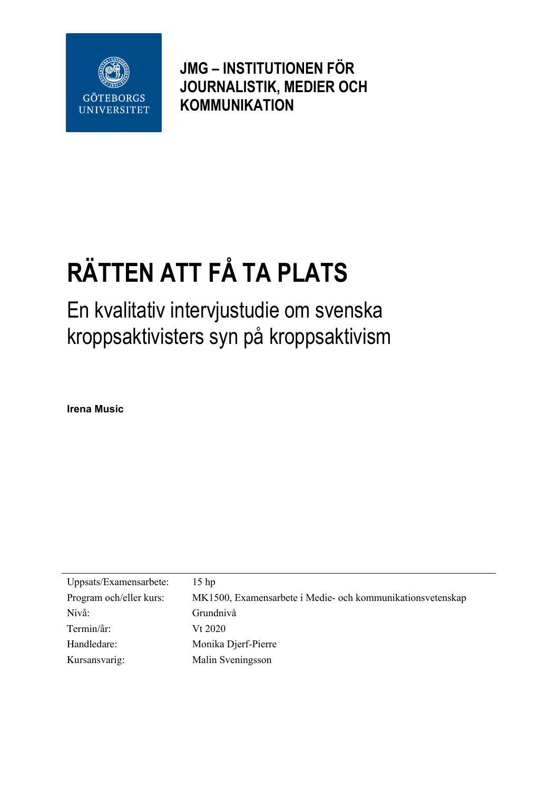

**JMG – INSTITUTIONEN FÖR JOURNALISTIK, MEDIER OCH KOMMUNIKATION**

# **RÄTTEN ATT FÅ TA PLATS**

En kvalitativ intervjustudie om svenska kroppsaktivisters syn på kroppsaktivism

**Irena Music**

| Uppsats/Examensarbete:  | 15 <sub>hp</sub>                                           |
|-------------------------|------------------------------------------------------------|
| Program och/eller kurs: | MK1500, Examensarbete i Medie- och kommunikationsvetenskap |
| Nivå:                   | Grundnivå                                                  |
| Termin/år:              | Vt 2020                                                    |
| Handledare:             | Monika Djerf-Pierre                                        |
| Kursansvarig:           | Malin Sveningsson                                          |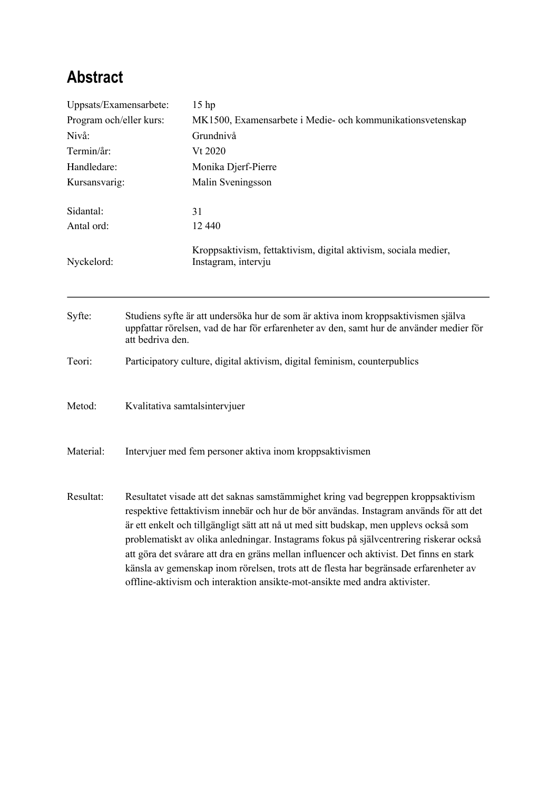# **Abstract**

| Uppsats/Examensarbete:                         |                                                                                                                                                                                                                                                                                                                                                                                                                                                                                                                                                                                                                                   | 15 <sub>hp</sub>                                                                       |  |                     |         |
|------------------------------------------------|-----------------------------------------------------------------------------------------------------------------------------------------------------------------------------------------------------------------------------------------------------------------------------------------------------------------------------------------------------------------------------------------------------------------------------------------------------------------------------------------------------------------------------------------------------------------------------------------------------------------------------------|----------------------------------------------------------------------------------------|--|---------------------|---------|
| Program och/eller kurs:<br>Nivå:<br>Termin/år: |                                                                                                                                                                                                                                                                                                                                                                                                                                                                                                                                                                                                                                   | MK1500, Examensarbete i Medie- och kommunikationsvetenskap<br>Grundnivå                |  |                     |         |
|                                                |                                                                                                                                                                                                                                                                                                                                                                                                                                                                                                                                                                                                                                   |                                                                                        |  |                     | Vt 2020 |
|                                                |                                                                                                                                                                                                                                                                                                                                                                                                                                                                                                                                                                                                                                   | Handledare:                                                                            |  | Monika Djerf-Pierre |         |
| Kursansvarig:                                  |                                                                                                                                                                                                                                                                                                                                                                                                                                                                                                                                                                                                                                   | Malin Sveningsson                                                                      |  |                     |         |
| Sidantal:                                      |                                                                                                                                                                                                                                                                                                                                                                                                                                                                                                                                                                                                                                   | 31                                                                                     |  |                     |         |
| Antal ord:                                     |                                                                                                                                                                                                                                                                                                                                                                                                                                                                                                                                                                                                                                   | 12 440                                                                                 |  |                     |         |
| Nyckelord:                                     |                                                                                                                                                                                                                                                                                                                                                                                                                                                                                                                                                                                                                                   | Kroppsaktivism, fettaktivism, digital aktivism, sociala medier,<br>Instagram, intervju |  |                     |         |
| Syfte:                                         | Studiens syfte är att undersöka hur de som är aktiva inom kroppsaktivismen själva<br>uppfattar rörelsen, vad de har för erfarenheter av den, samt hur de använder medier för<br>att bedriva den.                                                                                                                                                                                                                                                                                                                                                                                                                                  |                                                                                        |  |                     |         |
| Teori:                                         | Participatory culture, digital aktivism, digital feminism, counterpublics                                                                                                                                                                                                                                                                                                                                                                                                                                                                                                                                                         |                                                                                        |  |                     |         |
| Metod:                                         | Kvalitativa samtalsintervjuer                                                                                                                                                                                                                                                                                                                                                                                                                                                                                                                                                                                                     |                                                                                        |  |                     |         |
| Material:                                      | Intervjuer med fem personer aktiva inom kroppsaktivismen                                                                                                                                                                                                                                                                                                                                                                                                                                                                                                                                                                          |                                                                                        |  |                     |         |
| Resultat:                                      | Resultatet visade att det saknas samstämmighet kring vad begreppen kroppsaktivism<br>respektive fettaktivism innebär och hur de bör användas. Instagram används för att det<br>är ett enkelt och tillgängligt sätt att nå ut med sitt budskap, men upplevs också som<br>problematiskt av olika anledningar. Instagrams fokus på självcentrering riskerar också<br>att göra det svårare att dra en gräns mellan influencer och aktivist. Det finns en stark<br>känsla av gemenskap inom rörelsen, trots att de flesta har begränsade erfarenheter av<br>offline-aktivism och interaktion ansikte-mot-ansikte med andra aktivister. |                                                                                        |  |                     |         |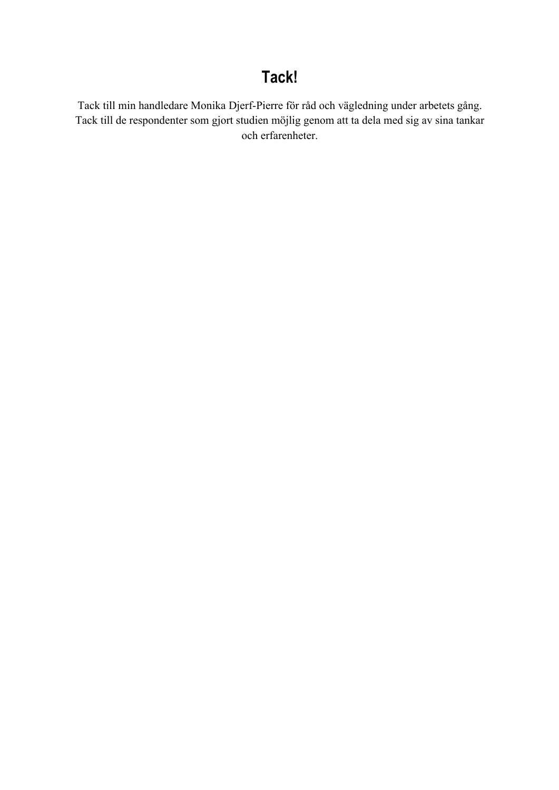# **Tack!**

Tack till min handledare Monika Djerf-Pierre för råd och vägledning under arbetets gång. Tack till de respondenter som gjort studien möjlig genom att ta dela med sig av sina tankar och erfarenheter.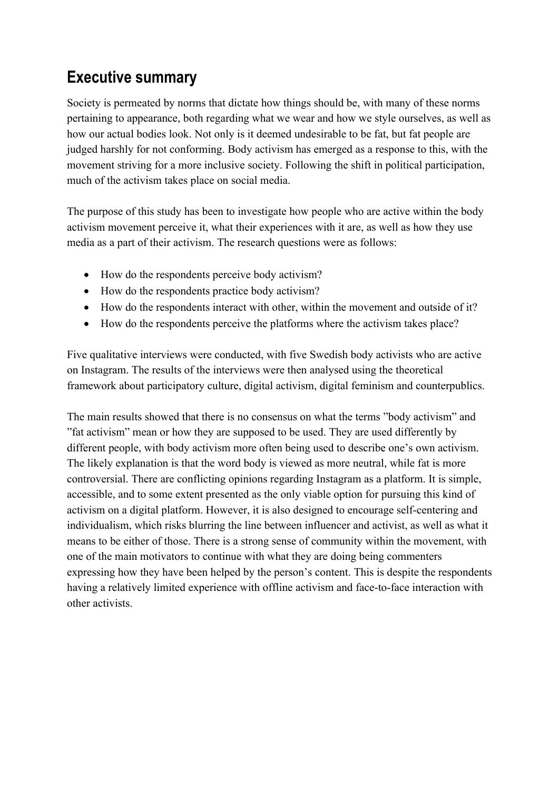# **Executive summary**

Society is permeated by norms that dictate how things should be, with many of these norms pertaining to appearance, both regarding what we wear and how we style ourselves, as well as how our actual bodies look. Not only is it deemed undesirable to be fat, but fat people are judged harshly for not conforming. Body activism has emerged as a response to this, with the movement striving for a more inclusive society. Following the shift in political participation, much of the activism takes place on social media.

The purpose of this study has been to investigate how people who are active within the body activism movement perceive it, what their experiences with it are, as well as how they use media as a part of their activism. The research questions were as follows:

- How do the respondents perceive body activism?
- How do the respondents practice body activism?
- How do the respondents interact with other, within the movement and outside of it?
- How do the respondents perceive the platforms where the activism takes place?

Five qualitative interviews were conducted, with five Swedish body activists who are active on Instagram. The results of the interviews were then analysed using the theoretical framework about participatory culture, digital activism, digital feminism and counterpublics.

The main results showed that there is no consensus on what the terms "body activism" and "fat activism" mean or how they are supposed to be used. They are used differently by different people, with body activism more often being used to describe one's own activism. The likely explanation is that the word body is viewed as more neutral, while fat is more controversial. There are conflicting opinions regarding Instagram as a platform. It is simple, accessible, and to some extent presented as the only viable option for pursuing this kind of activism on a digital platform. However, it is also designed to encourage self-centering and individualism, which risks blurring the line between influencer and activist, as well as what it means to be either of those. There is a strong sense of community within the movement, with one of the main motivators to continue with what they are doing being commenters expressing how they have been helped by the person's content. This is despite the respondents having a relatively limited experience with offline activism and face-to-face interaction with other activists.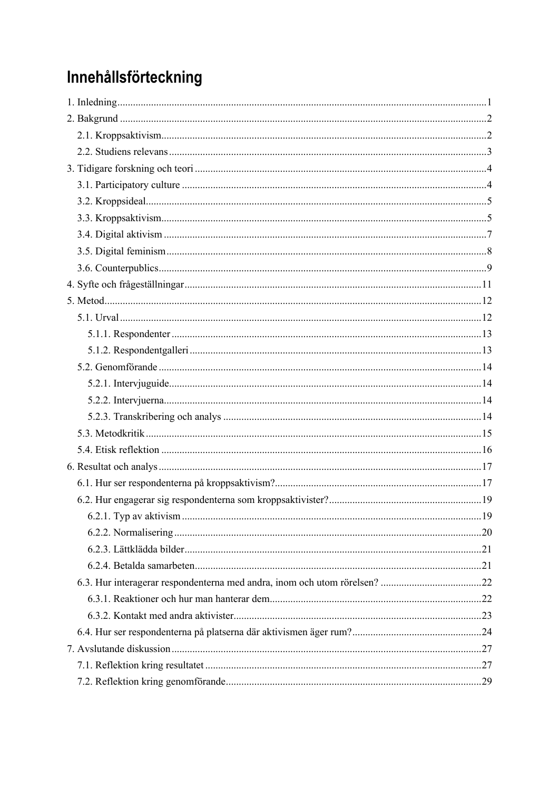# Innehållsförteckning

| 19 |
|----|
|    |
|    |
|    |
|    |
|    |
|    |
|    |
|    |
|    |
|    |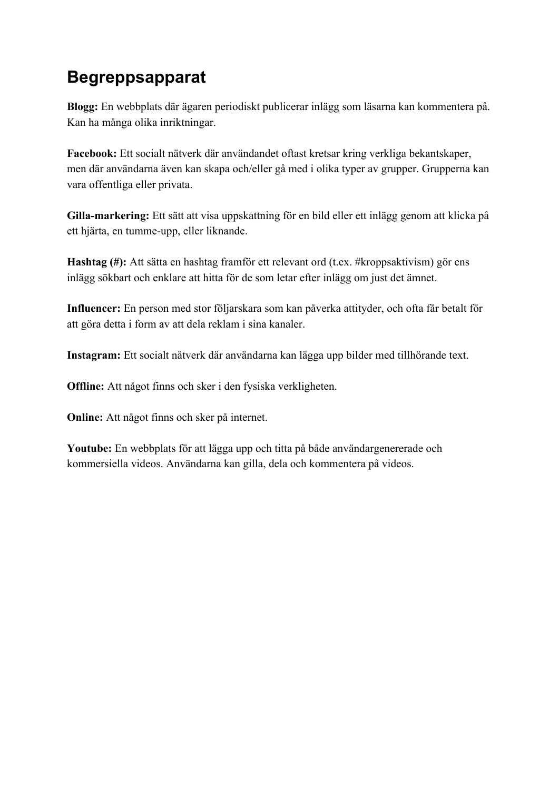# **Begreppsapparat**

**Blogg:** En webbplats där ägaren periodiskt publicerar inlägg som läsarna kan kommentera på. Kan ha många olika inriktningar.

**Facebook:** Ett socialt nätverk där användandet oftast kretsar kring verkliga bekantskaper, men där användarna även kan skapa och/eller gå med i olika typer av grupper. Grupperna kan vara offentliga eller privata.

**Gilla-markering:** Ett sätt att visa uppskattning för en bild eller ett inlägg genom att klicka på ett hjärta, en tumme-upp, eller liknande.

**Hashtag (#):** Att sätta en hashtag framför ett relevant ord (t.ex. #kroppsaktivism) gör ens inlägg sökbart och enklare att hitta för de som letar efter inlägg om just det ämnet.

**Influencer:** En person med stor följarskara som kan påverka attityder, och ofta får betalt för att göra detta i form av att dela reklam i sina kanaler.

**Instagram:** Ett socialt nätverk där användarna kan lägga upp bilder med tillhörande text.

**Offline:** Att något finns och sker i den fysiska verkligheten.

**Online:** Att något finns och sker på internet.

**Youtube:** En webbplats för att lägga upp och titta på både användargenererade och kommersiella videos. Användarna kan gilla, dela och kommentera på videos.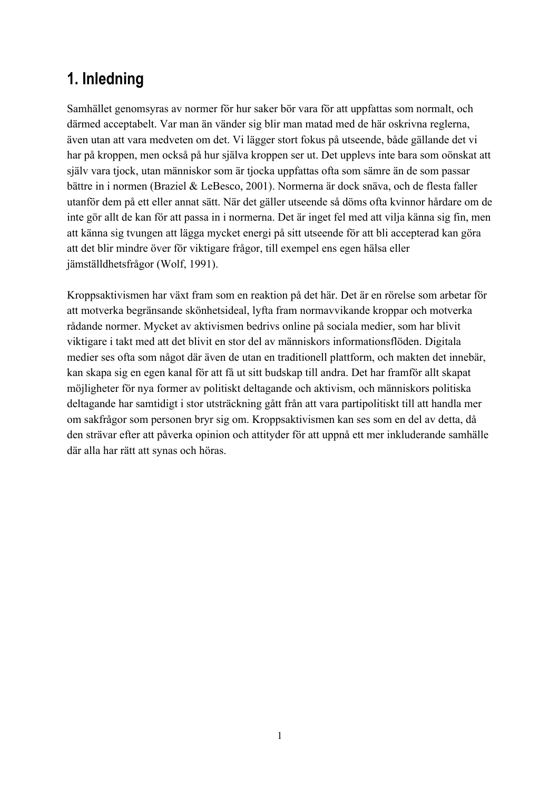# **1. Inledning**

Samhället genomsyras av normer för hur saker bör vara för att uppfattas som normalt, och därmed acceptabelt. Var man än vänder sig blir man matad med de här oskrivna reglerna, även utan att vara medveten om det. Vi lägger stort fokus på utseende, både gällande det vi har på kroppen, men också på hur själva kroppen ser ut. Det upplevs inte bara som oönskat att själv vara tjock, utan människor som är tjocka uppfattas ofta som sämre än de som passar bättre in i normen (Braziel & LeBesco, 2001). Normerna är dock snäva, och de flesta faller utanför dem på ett eller annat sätt. När det gäller utseende så döms ofta kvinnor hårdare om de inte gör allt de kan för att passa in i normerna. Det är inget fel med att vilja känna sig fin, men att känna sig tvungen att lägga mycket energi på sitt utseende för att bli accepterad kan göra att det blir mindre över för viktigare frågor, till exempel ens egen hälsa eller jämställdhetsfrågor (Wolf, 1991).

Kroppsaktivismen har växt fram som en reaktion på det här. Det är en rörelse som arbetar för att motverka begränsande skönhetsideal, lyfta fram normavvikande kroppar och motverka rådande normer. Mycket av aktivismen bedrivs online på sociala medier, som har blivit viktigare i takt med att det blivit en stor del av människors informationsflöden. Digitala medier ses ofta som något där även de utan en traditionell plattform, och makten det innebär, kan skapa sig en egen kanal för att få ut sitt budskap till andra. Det har framför allt skapat möjligheter för nya former av politiskt deltagande och aktivism, och människors politiska deltagande har samtidigt i stor utsträckning gått från att vara partipolitiskt till att handla mer om sakfrågor som personen bryr sig om. Kroppsaktivismen kan ses som en del av detta, då den strävar efter att påverka opinion och attityder för att uppnå ett mer inkluderande samhälle där alla har rätt att synas och höras.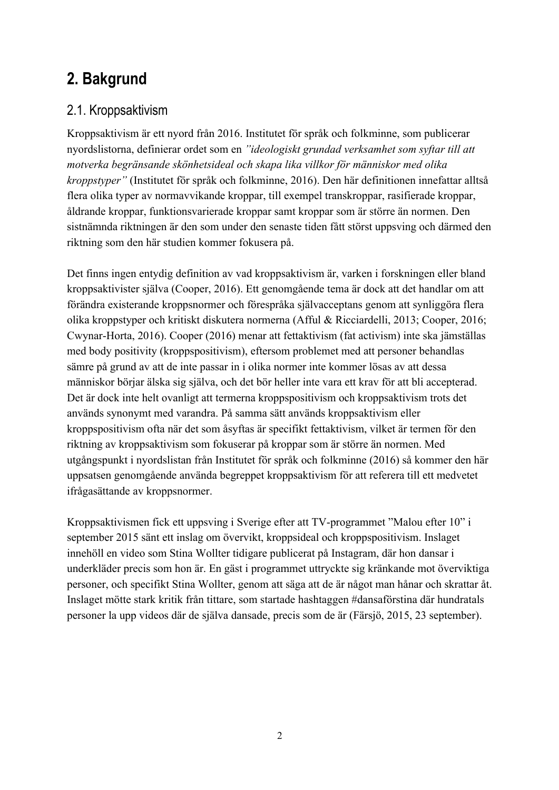# **2. Bakgrund**

### 2.1. Kroppsaktivism

Kroppsaktivism är ett nyord från 2016. Institutet för språk och folkminne, som publicerar nyordslistorna, definierar ordet som en *"ideologiskt grundad verksamhet som syftar till att motverka begränsande skönhetsideal och skapa lika villkor för människor med olika kroppstyper"* (Institutet för språk och folkminne, 2016). Den här definitionen innefattar alltså flera olika typer av normavvikande kroppar, till exempel transkroppar, rasifierade kroppar, åldrande kroppar, funktionsvarierade kroppar samt kroppar som är större än normen. Den sistnämnda riktningen är den som under den senaste tiden fått störst uppsving och därmed den riktning som den här studien kommer fokusera på.

Det finns ingen entydig definition av vad kroppsaktivism är, varken i forskningen eller bland kroppsaktivister själva (Cooper, 2016). Ett genomgående tema är dock att det handlar om att förändra existerande kroppsnormer och förespråka självacceptans genom att synliggöra flera olika kroppstyper och kritiskt diskutera normerna (Afful & Ricciardelli, 2013; Cooper, 2016; Cwynar-Horta, 2016). Cooper (2016) menar att fettaktivism (fat activism) inte ska jämställas med body positivity (kroppspositivism), eftersom problemet med att personer behandlas sämre på grund av att de inte passar in i olika normer inte kommer lösas av att dessa människor börjar älska sig själva, och det bör heller inte vara ett krav för att bli accepterad. Det är dock inte helt ovanligt att termerna kroppspositivism och kroppsaktivism trots det används synonymt med varandra. På samma sätt används kroppsaktivism eller kroppspositivism ofta när det som åsyftas är specifikt fettaktivism, vilket är termen för den riktning av kroppsaktivism som fokuserar på kroppar som är större än normen. Med utgångspunkt i nyordslistan från Institutet för språk och folkminne (2016) så kommer den här uppsatsen genomgående använda begreppet kroppsaktivism för att referera till ett medvetet ifrågasättande av kroppsnormer.

Kroppsaktivismen fick ett uppsving i Sverige efter att TV-programmet "Malou efter 10" i september 2015 sänt ett inslag om övervikt, kroppsideal och kroppspositivism. Inslaget innehöll en video som Stina Wollter tidigare publicerat på Instagram, där hon dansar i underkläder precis som hon är. En gäst i programmet uttryckte sig kränkande mot överviktiga personer, och specifikt Stina Wollter, genom att säga att de är något man hånar och skrattar åt. Inslaget mötte stark kritik från tittare, som startade hashtaggen #dansaförstina där hundratals personer la upp videos där de själva dansade, precis som de är (Färsjö, 2015, 23 september).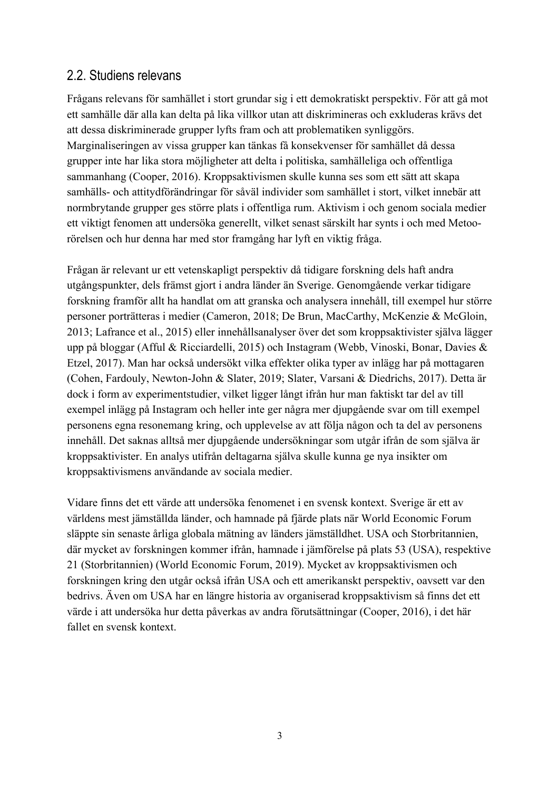#### 2.2. Studiens relevans

Frågans relevans för samhället i stort grundar sig i ett demokratiskt perspektiv. För att gå mot ett samhälle där alla kan delta på lika villkor utan att diskrimineras och exkluderas krävs det att dessa diskriminerade grupper lyfts fram och att problematiken synliggörs. Marginaliseringen av vissa grupper kan tänkas få konsekvenser för samhället då dessa grupper inte har lika stora möjligheter att delta i politiska, samhälleliga och offentliga sammanhang (Cooper, 2016). Kroppsaktivismen skulle kunna ses som ett sätt att skapa samhälls- och attitydförändringar för såväl individer som samhället i stort, vilket innebär att normbrytande grupper ges större plats i offentliga rum. Aktivism i och genom sociala medier ett viktigt fenomen att undersöka generellt, vilket senast särskilt har synts i och med Metoorörelsen och hur denna har med stor framgång har lyft en viktig fråga.

Frågan är relevant ur ett vetenskapligt perspektiv då tidigare forskning dels haft andra utgångspunkter, dels främst gjort i andra länder än Sverige. Genomgående verkar tidigare forskning framför allt ha handlat om att granska och analysera innehåll, till exempel hur större personer porträtteras i medier (Cameron, 2018; De Brun, MacCarthy, McKenzie & McGloin, 2013; Lafrance et al., 2015) eller innehållsanalyser över det som kroppsaktivister själva lägger upp på bloggar (Afful & Ricciardelli, 2015) och Instagram (Webb, Vinoski, Bonar, Davies & Etzel, 2017). Man har också undersökt vilka effekter olika typer av inlägg har på mottagaren (Cohen, Fardouly, Newton-John & Slater, 2019; Slater, Varsani & Diedrichs, 2017). Detta är dock i form av experimentstudier, vilket ligger långt ifrån hur man faktiskt tar del av till exempel inlägg på Instagram och heller inte ger några mer djupgående svar om till exempel personens egna resonemang kring, och upplevelse av att följa någon och ta del av personens innehåll. Det saknas alltså mer djupgående undersökningar som utgår ifrån de som själva är kroppsaktivister. En analys utifrån deltagarna själva skulle kunna ge nya insikter om kroppsaktivismens användande av sociala medier.

Vidare finns det ett värde att undersöka fenomenet i en svensk kontext. Sverige är ett av världens mest jämställda länder, och hamnade på fjärde plats när World Economic Forum släppte sin senaste årliga globala mätning av länders jämställdhet. USA och Storbritannien, där mycket av forskningen kommer ifrån, hamnade i jämförelse på plats 53 (USA), respektive 21 (Storbritannien) (World Economic Forum, 2019). Mycket av kroppsaktivismen och forskningen kring den utgår också ifrån USA och ett amerikanskt perspektiv, oavsett var den bedrivs. Även om USA har en längre historia av organiserad kroppsaktivism så finns det ett värde i att undersöka hur detta påverkas av andra förutsättningar (Cooper, 2016), i det här fallet en svensk kontext.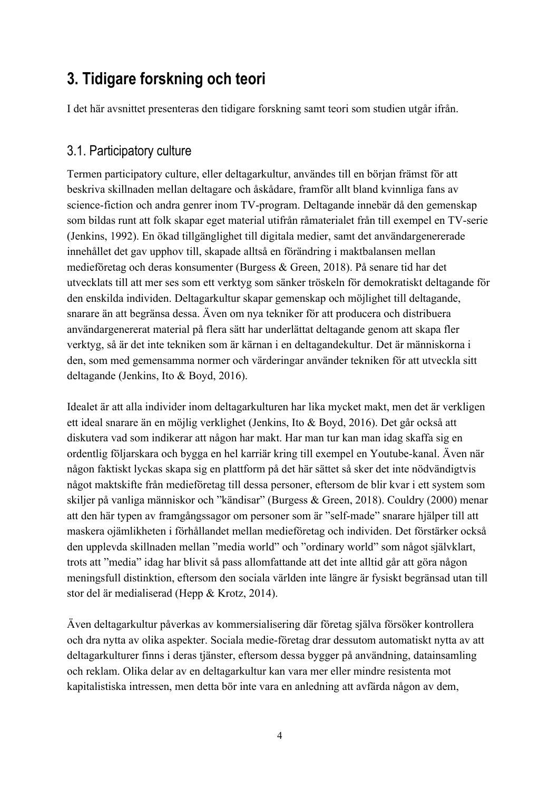# **3. Tidigare forskning och teori**

I det här avsnittet presenteras den tidigare forskning samt teori som studien utgår ifrån.

#### 3.1. Participatory culture

Termen participatory culture, eller deltagarkultur, användes till en början främst för att beskriva skillnaden mellan deltagare och åskådare, framför allt bland kvinnliga fans av science-fiction och andra genrer inom TV-program. Deltagande innebär då den gemenskap som bildas runt att folk skapar eget material utifrån råmaterialet från till exempel en TV-serie (Jenkins, 1992). En ökad tillgänglighet till digitala medier, samt det användargenererade innehållet det gav upphov till, skapade alltså en förändring i maktbalansen mellan medieföretag och deras konsumenter (Burgess & Green, 2018). På senare tid har det utvecklats till att mer ses som ett verktyg som sänker tröskeln för demokratiskt deltagande för den enskilda individen. Deltagarkultur skapar gemenskap och möjlighet till deltagande, snarare än att begränsa dessa. Även om nya tekniker för att producera och distribuera användargenererat material på flera sätt har underlättat deltagande genom att skapa fler verktyg, så är det inte tekniken som är kärnan i en deltagandekultur. Det är människorna i den, som med gemensamma normer och värderingar använder tekniken för att utveckla sitt deltagande (Jenkins, Ito & Boyd, 2016).

Idealet är att alla individer inom deltagarkulturen har lika mycket makt, men det är verkligen ett ideal snarare än en möjlig verklighet (Jenkins, Ito & Boyd, 2016). Det går också att diskutera vad som indikerar att någon har makt. Har man tur kan man idag skaffa sig en ordentlig följarskara och bygga en hel karriär kring till exempel en Youtube-kanal. Även när någon faktiskt lyckas skapa sig en plattform på det här sättet så sker det inte nödvändigtvis något maktskifte från medieföretag till dessa personer, eftersom de blir kvar i ett system som skiljer på vanliga människor och "kändisar" (Burgess & Green, 2018). Couldry (2000) menar att den här typen av framgångssagor om personer som är "self-made" snarare hjälper till att maskera ojämlikheten i förhållandet mellan medieföretag och individen. Det förstärker också den upplevda skillnaden mellan "media world" och "ordinary world" som något självklart, trots att "media" idag har blivit så pass allomfattande att det inte alltid går att göra någon meningsfull distinktion, eftersom den sociala världen inte längre är fysiskt begränsad utan till stor del är medialiserad (Hepp & Krotz, 2014).

Även deltagarkultur påverkas av kommersialisering där företag själva försöker kontrollera och dra nytta av olika aspekter. Sociala medie-företag drar dessutom automatiskt nytta av att deltagarkulturer finns i deras tjänster, eftersom dessa bygger på användning, datainsamling och reklam. Olika delar av en deltagarkultur kan vara mer eller mindre resistenta mot kapitalistiska intressen, men detta bör inte vara en anledning att avfärda någon av dem,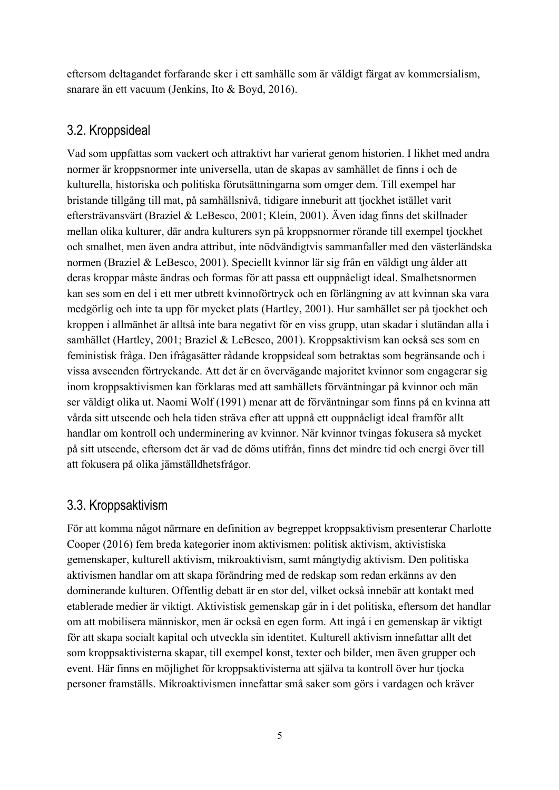eftersom deltagandet forfarande sker i ett samhälle som är väldigt färgat av kommersialism, snarare än ett vacuum (Jenkins, Ito & Boyd, 2016).

### 3.2. Kroppsideal

Vad som uppfattas som vackert och attraktivt har varierat genom historien. I likhet med andra normer är kroppsnormer inte universella, utan de skapas av samhället de finns i och de kulturella, historiska och politiska förutsättningarna som omger dem. Till exempel har bristande tillgång till mat, på samhällsnivå, tidigare inneburit att tjockhet istället varit eftersträvansvärt (Braziel & LeBesco, 2001; Klein, 2001). Även idag finns det skillnader mellan olika kulturer, där andra kulturers syn på kroppsnormer rörande till exempel tjockhet och smalhet, men även andra attribut, inte nödvändigtvis sammanfaller med den västerländska normen (Braziel & LeBesco, 2001). Speciellt kvinnor lär sig från en väldigt ung ålder att deras kroppar måste ändras och formas för att passa ett ouppnåeligt ideal. Smalhetsnormen kan ses som en del i ett mer utbrett kvinnoförtryck och en förlängning av att kvinnan ska vara medgörlig och inte ta upp för mycket plats (Hartley, 2001). Hur samhället ser på tjockhet och kroppen i allmänhet är alltså inte bara negativt för en viss grupp, utan skadar i slutändan alla i samhället (Hartley, 2001; Braziel & LeBesco, 2001). Kroppsaktivism kan också ses som en feministisk fråga. Den ifrågasätter rådande kroppsideal som betraktas som begränsande och i vissa avseenden förtryckande. Att det är en övervägande majoritet kvinnor som engagerar sig inom kroppsaktivismen kan förklaras med att samhällets förväntningar på kvinnor och män ser väldigt olika ut. Naomi Wolf (1991) menar att de förväntningar som finns på en kvinna att vårda sitt utseende och hela tiden sträva efter att uppnå ett ouppnåeligt ideal framför allt handlar om kontroll och underminering av kvinnor. När kvinnor tvingas fokusera så mycket på sitt utseende, eftersom det är vad de döms utifrån, finns det mindre tid och energi över till att fokusera på olika jämställdhetsfrågor.

### 3.3. Kroppsaktivism

För att komma något närmare en definition av begreppet kroppsaktivism presenterar Charlotte Cooper (2016) fem breda kategorier inom aktivismen: politisk aktivism, aktivistiska gemenskaper, kulturell aktivism, mikroaktivism, samt mångtydig aktivism. Den politiska aktivismen handlar om att skapa förändring med de redskap som redan erkänns av den dominerande kulturen. Offentlig debatt är en stor del, vilket också innebär att kontakt med etablerade medier är viktigt. Aktivistisk gemenskap går in i det politiska, eftersom det handlar om att mobilisera människor, men är också en egen form. Att ingå i en gemenskap är viktigt för att skapa socialt kapital och utveckla sin identitet. Kulturell aktivism innefattar allt det som kroppsaktivisterna skapar, till exempel konst, texter och bilder, men även grupper och event. Här finns en möjlighet för kroppsaktivisterna att själva ta kontroll över hur tjocka personer framställs. Mikroaktivismen innefattar små saker som görs i vardagen och kräver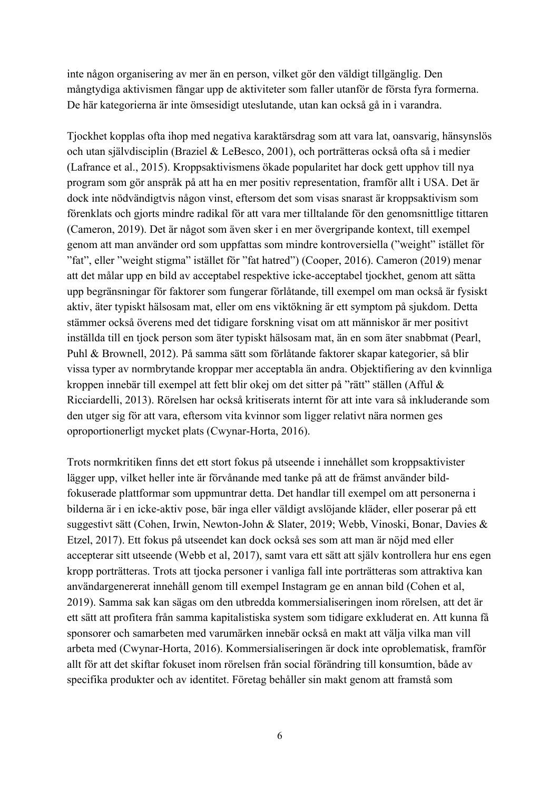inte någon organisering av mer än en person, vilket gör den väldigt tillgänglig. Den mångtydiga aktivismen fångar upp de aktiviteter som faller utanför de första fyra formerna. De här kategorierna är inte ömsesidigt uteslutande, utan kan också gå in i varandra.

Tjockhet kopplas ofta ihop med negativa karaktärsdrag som att vara lat, oansvarig, hänsynslös och utan självdisciplin (Braziel & LeBesco, 2001), och porträtteras också ofta så i medier (Lafrance et al., 2015). Kroppsaktivismens ökade popularitet har dock gett upphov till nya program som gör anspråk på att ha en mer positiv representation, framför allt i USA. Det är dock inte nödvändigtvis någon vinst, eftersom det som visas snarast är kroppsaktivism som förenklats och gjorts mindre radikal för att vara mer tilltalande för den genomsnittlige tittaren (Cameron, 2019). Det är något som även sker i en mer övergripande kontext, till exempel genom att man använder ord som uppfattas som mindre kontroversiella ("weight" istället för "fat", eller "weight stigma" istället för "fat hatred") (Cooper, 2016). Cameron (2019) menar att det målar upp en bild av acceptabel respektive icke-acceptabel tjockhet, genom att sätta upp begränsningar för faktorer som fungerar förlåtande, till exempel om man också är fysiskt aktiv, äter typiskt hälsosam mat, eller om ens viktökning är ett symptom på sjukdom. Detta stämmer också överens med det tidigare forskning visat om att människor är mer positivt inställda till en tjock person som äter typiskt hälsosam mat, än en som äter snabbmat (Pearl, Puhl & Brownell, 2012). På samma sätt som förlåtande faktorer skapar kategorier, så blir vissa typer av normbrytande kroppar mer acceptabla än andra. Objektifiering av den kvinnliga kroppen innebär till exempel att fett blir okej om det sitter på "rätt" ställen (Afful & Ricciardelli, 2013). Rörelsen har också kritiserats internt för att inte vara så inkluderande som den utger sig för att vara, eftersom vita kvinnor som ligger relativt nära normen ges oproportionerligt mycket plats (Cwynar-Horta, 2016).

Trots normkritiken finns det ett stort fokus på utseende i innehållet som kroppsaktivister lägger upp, vilket heller inte är förvånande med tanke på att de främst använder bildfokuserade plattformar som uppmuntrar detta. Det handlar till exempel om att personerna i bilderna är i en icke-aktiv pose, bär inga eller väldigt avslöjande kläder, eller poserar på ett suggestivt sätt (Cohen, Irwin, Newton-John & Slater, 2019; Webb, Vinoski, Bonar, Davies & Etzel, 2017). Ett fokus på utseendet kan dock också ses som att man är nöjd med eller accepterar sitt utseende (Webb et al, 2017), samt vara ett sätt att själv kontrollera hur ens egen kropp porträtteras. Trots att tjocka personer i vanliga fall inte porträtteras som attraktiva kan användargenererat innehåll genom till exempel Instagram ge en annan bild (Cohen et al, 2019). Samma sak kan sägas om den utbredda kommersialiseringen inom rörelsen, att det är ett sätt att profitera från samma kapitalistiska system som tidigare exkluderat en. Att kunna få sponsorer och samarbeten med varumärken innebär också en makt att välja vilka man vill arbeta med (Cwynar-Horta, 2016). Kommersialiseringen är dock inte oproblematisk, framför allt för att det skiftar fokuset inom rörelsen från social förändring till konsumtion, både av specifika produkter och av identitet. Företag behåller sin makt genom att framstå som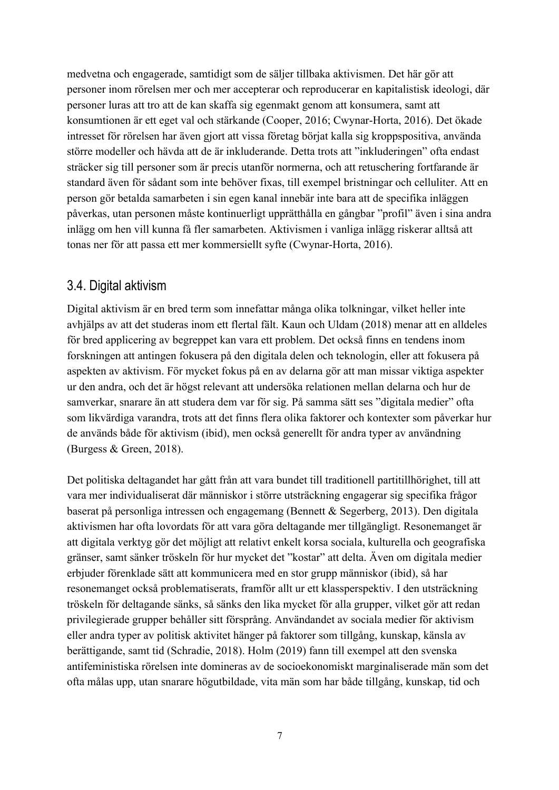medvetna och engagerade, samtidigt som de säljer tillbaka aktivismen. Det här gör att personer inom rörelsen mer och mer accepterar och reproducerar en kapitalistisk ideologi, där personer luras att tro att de kan skaffa sig egenmakt genom att konsumera, samt att konsumtionen är ett eget val och stärkande (Cooper, 2016; Cwynar-Horta, 2016). Det ökade intresset för rörelsen har även gjort att vissa företag börjat kalla sig kroppspositiva, använda större modeller och hävda att de är inkluderande. Detta trots att "inkluderingen" ofta endast sträcker sig till personer som är precis utanför normerna, och att retuschering fortfarande är standard även för sådant som inte behöver fixas, till exempel bristningar och celluliter. Att en person gör betalda samarbeten i sin egen kanal innebär inte bara att de specifika inläggen påverkas, utan personen måste kontinuerligt upprätthålla en gångbar "profil" även i sina andra inlägg om hen vill kunna få fler samarbeten. Aktivismen i vanliga inlägg riskerar alltså att tonas ner för att passa ett mer kommersiellt syfte (Cwynar-Horta, 2016).

### 3.4. Digital aktivism

Digital aktivism är en bred term som innefattar många olika tolkningar, vilket heller inte avhjälps av att det studeras inom ett flertal fält. Kaun och Uldam (2018) menar att en alldeles för bred applicering av begreppet kan vara ett problem. Det också finns en tendens inom forskningen att antingen fokusera på den digitala delen och teknologin, eller att fokusera på aspekten av aktivism. För mycket fokus på en av delarna gör att man missar viktiga aspekter ur den andra, och det är högst relevant att undersöka relationen mellan delarna och hur de samverkar, snarare än att studera dem var för sig. På samma sätt ses "digitala medier" ofta som likvärdiga varandra, trots att det finns flera olika faktorer och kontexter som påverkar hur de används både för aktivism (ibid), men också generellt för andra typer av användning (Burgess & Green, 2018).

Det politiska deltagandet har gått från att vara bundet till traditionell partitillhörighet, till att vara mer individualiserat där människor i större utsträckning engagerar sig specifika frågor baserat på personliga intressen och engagemang (Bennett & Segerberg, 2013). Den digitala aktivismen har ofta lovordats för att vara göra deltagande mer tillgängligt. Resonemanget är att digitala verktyg gör det möjligt att relativt enkelt korsa sociala, kulturella och geografiska gränser, samt sänker tröskeln för hur mycket det "kostar" att delta. Även om digitala medier erbjuder förenklade sätt att kommunicera med en stor grupp människor (ibid), så har resonemanget också problematiserats, framför allt ur ett klassperspektiv. I den utsträckning tröskeln för deltagande sänks, så sänks den lika mycket för alla grupper, vilket gör att redan privilegierade grupper behåller sitt försprång. Användandet av sociala medier för aktivism eller andra typer av politisk aktivitet hänger på faktorer som tillgång, kunskap, känsla av berättigande, samt tid (Schradie, 2018). Holm (2019) fann till exempel att den svenska antifeministiska rörelsen inte domineras av de socioekonomiskt marginaliserade män som det ofta målas upp, utan snarare högutbildade, vita män som har både tillgång, kunskap, tid och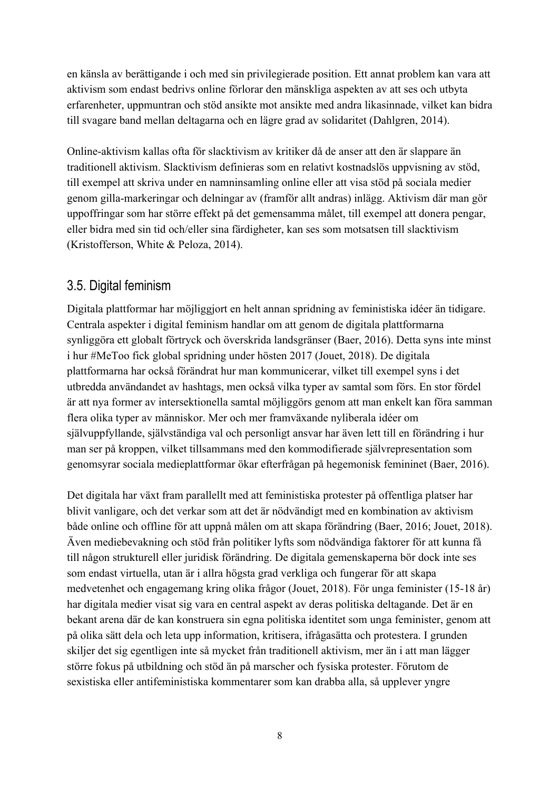en känsla av berättigande i och med sin privilegierade position. Ett annat problem kan vara att aktivism som endast bedrivs online förlorar den mänskliga aspekten av att ses och utbyta erfarenheter, uppmuntran och stöd ansikte mot ansikte med andra likasinnade, vilket kan bidra till svagare band mellan deltagarna och en lägre grad av solidaritet (Dahlgren, 2014).

Online-aktivism kallas ofta för slacktivism av kritiker då de anser att den är slappare än traditionell aktivism. Slacktivism definieras som en relativt kostnadslös uppvisning av stöd, till exempel att skriva under en namninsamling online eller att visa stöd på sociala medier genom gilla-markeringar och delningar av (framför allt andras) inlägg. Aktivism där man gör uppoffringar som har större effekt på det gemensamma målet, till exempel att donera pengar, eller bidra med sin tid och/eller sina färdigheter, kan ses som motsatsen till slacktivism (Kristofferson, White & Peloza, 2014).

### 3.5. Digital feminism

Digitala plattformar har möjliggjort en helt annan spridning av feministiska idéer än tidigare. Centrala aspekter i digital feminism handlar om att genom de digitala plattformarna synliggöra ett globalt förtryck och överskrida landsgränser (Baer, 2016). Detta syns inte minst i hur #MeToo fick global spridning under hösten 2017 (Jouet, 2018). De digitala plattformarna har också förändrat hur man kommunicerar, vilket till exempel syns i det utbredda användandet av hashtags, men också vilka typer av samtal som förs. En stor fördel är att nya former av intersektionella samtal möjliggörs genom att man enkelt kan föra samman flera olika typer av människor. Mer och mer framväxande nyliberala idéer om självuppfyllande, självständiga val och personligt ansvar har även lett till en förändring i hur man ser på kroppen, vilket tillsammans med den kommodifierade självrepresentation som genomsyrar sociala medieplattformar ökar efterfrågan på hegemonisk femininet (Baer, 2016).

Det digitala har växt fram parallellt med att feministiska protester på offentliga platser har blivit vanligare, och det verkar som att det är nödvändigt med en kombination av aktivism både online och offline för att uppnå målen om att skapa förändring (Baer, 2016; Jouet, 2018). Även mediebevakning och stöd från politiker lyfts som nödvändiga faktorer för att kunna få till någon strukturell eller juridisk förändring. De digitala gemenskaperna bör dock inte ses som endast virtuella, utan är i allra högsta grad verkliga och fungerar för att skapa medvetenhet och engagemang kring olika frågor (Jouet, 2018). För unga feminister (15-18 år) har digitala medier visat sig vara en central aspekt av deras politiska deltagande. Det är en bekant arena där de kan konstruera sin egna politiska identitet som unga feminister, genom att på olika sätt dela och leta upp information, kritisera, ifrågasätta och protestera. I grunden skiljer det sig egentligen inte så mycket från traditionell aktivism, mer än i att man lägger större fokus på utbildning och stöd än på marscher och fysiska protester. Förutom de sexistiska eller antifeministiska kommentarer som kan drabba alla, så upplever yngre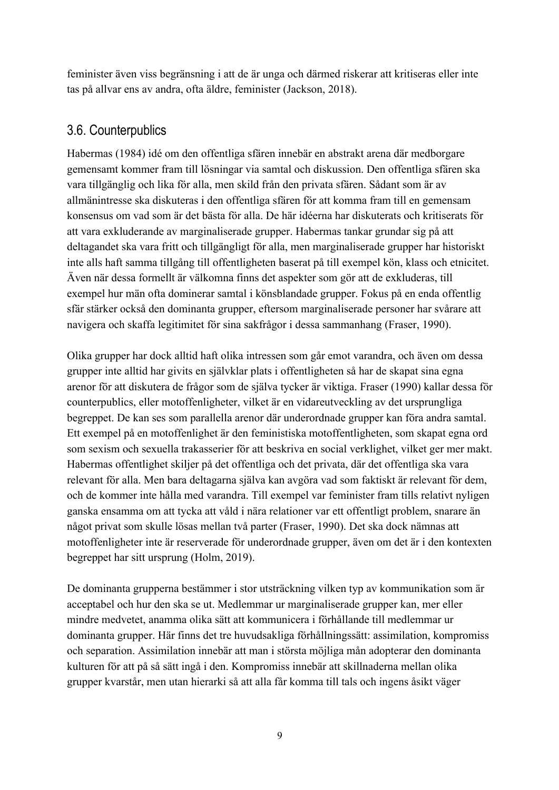feminister även viss begränsning i att de är unga och därmed riskerar att kritiseras eller inte tas på allvar ens av andra, ofta äldre, feminister (Jackson, 2018).

### 3.6. Counterpublics

Habermas (1984) idé om den offentliga sfären innebär en abstrakt arena där medborgare gemensamt kommer fram till lösningar via samtal och diskussion. Den offentliga sfären ska vara tillgänglig och lika för alla, men skild från den privata sfären. Sådant som är av allmänintresse ska diskuteras i den offentliga sfären för att komma fram till en gemensam konsensus om vad som är det bästa för alla. De här idéerna har diskuterats och kritiserats för att vara exkluderande av marginaliserade grupper. Habermas tankar grundar sig på att deltagandet ska vara fritt och tillgängligt för alla, men marginaliserade grupper har historiskt inte alls haft samma tillgång till offentligheten baserat på till exempel kön, klass och etnicitet. Även när dessa formellt är välkomna finns det aspekter som gör att de exkluderas, till exempel hur män ofta dominerar samtal i könsblandade grupper. Fokus på en enda offentlig sfär stärker också den dominanta grupper, eftersom marginaliserade personer har svårare att navigera och skaffa legitimitet för sina sakfrågor i dessa sammanhang (Fraser, 1990).

Olika grupper har dock alltid haft olika intressen som går emot varandra, och även om dessa grupper inte alltid har givits en självklar plats i offentligheten så har de skapat sina egna arenor för att diskutera de frågor som de själva tycker är viktiga. Fraser (1990) kallar dessa för counterpublics, eller motoffenligheter, vilket är en vidareutveckling av det ursprungliga begreppet. De kan ses som parallella arenor där underordnade grupper kan föra andra samtal. Ett exempel på en motoffenlighet är den feministiska motoffentligheten, som skapat egna ord som sexism och sexuella trakasserier för att beskriva en social verklighet, vilket ger mer makt. Habermas offentlighet skiljer på det offentliga och det privata, där det offentliga ska vara relevant för alla. Men bara deltagarna själva kan avgöra vad som faktiskt är relevant för dem, och de kommer inte hålla med varandra. Till exempel var feminister fram tills relativt nyligen ganska ensamma om att tycka att våld i nära relationer var ett offentligt problem, snarare än något privat som skulle lösas mellan två parter (Fraser, 1990). Det ska dock nämnas att motoffenligheter inte är reserverade för underordnade grupper, även om det är i den kontexten begreppet har sitt ursprung (Holm, 2019).

De dominanta grupperna bestämmer i stor utsträckning vilken typ av kommunikation som är acceptabel och hur den ska se ut. Medlemmar ur marginaliserade grupper kan, mer eller mindre medvetet, anamma olika sätt att kommunicera i förhållande till medlemmar ur dominanta grupper. Här finns det tre huvudsakliga förhållningssätt: assimilation, kompromiss och separation. Assimilation innebär att man i största möjliga mån adopterar den dominanta kulturen för att på så sätt ingå i den. Kompromiss innebär att skillnaderna mellan olika grupper kvarstår, men utan hierarki så att alla får komma till tals och ingens åsikt väger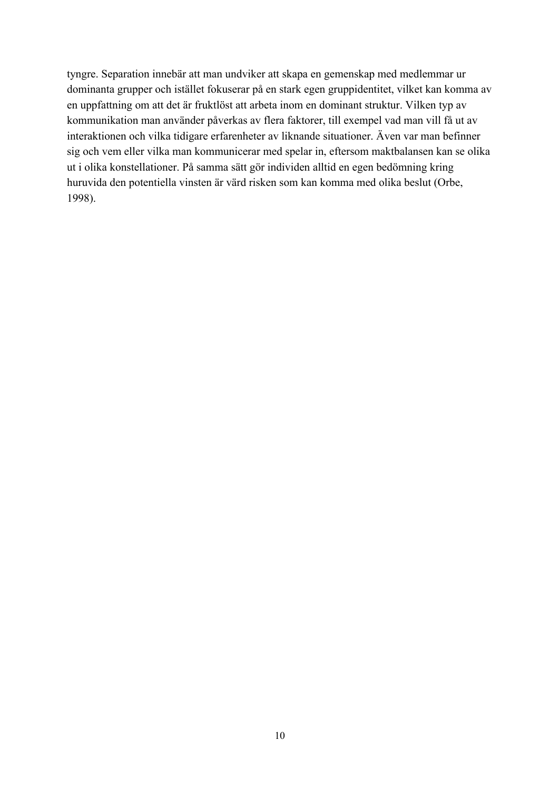tyngre. Separation innebär att man undviker att skapa en gemenskap med medlemmar ur dominanta grupper och istället fokuserar på en stark egen gruppidentitet, vilket kan komma av en uppfattning om att det är fruktlöst att arbeta inom en dominant struktur. Vilken typ av kommunikation man använder påverkas av flera faktorer, till exempel vad man vill få ut av interaktionen och vilka tidigare erfarenheter av liknande situationer. Även var man befinner sig och vem eller vilka man kommunicerar med spelar in, eftersom maktbalansen kan se olika ut i olika konstellationer. På samma sätt gör individen alltid en egen bedömning kring huruvida den potentiella vinsten är värd risken som kan komma med olika beslut (Orbe, 1998).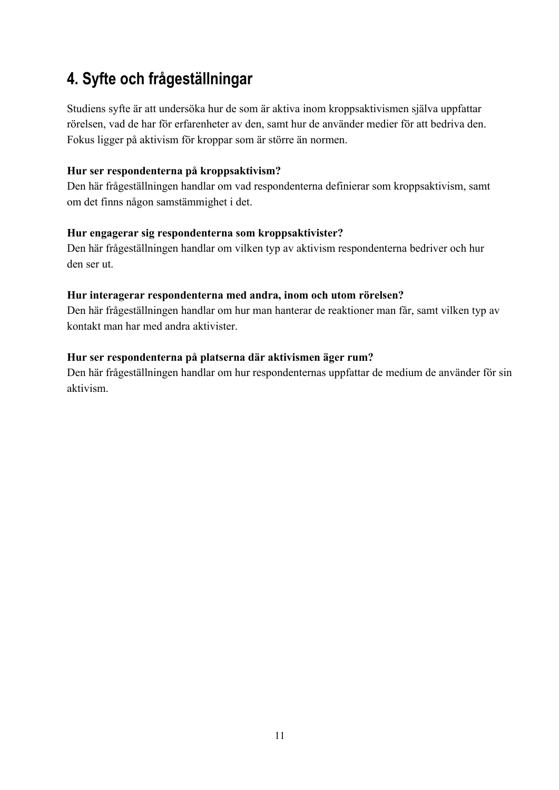# **4. Syfte och frågeställningar**

Studiens syfte är att undersöka hur de som är aktiva inom kroppsaktivismen själva uppfattar rörelsen, vad de har för erfarenheter av den, samt hur de använder medier för att bedriva den. Fokus ligger på aktivism för kroppar som är större än normen.

#### **Hur ser respondenterna på kroppsaktivism?**

Den här frågeställningen handlar om vad respondenterna definierar som kroppsaktivism, samt om det finns någon samstämmighet i det.

#### **Hur engagerar sig respondenterna som kroppsaktivister?**

Den här frågeställningen handlar om vilken typ av aktivism respondenterna bedriver och hur den ser ut.

#### **Hur interagerar respondenterna med andra, inom och utom rörelsen?**

Den här frågeställningen handlar om hur man hanterar de reaktioner man får, samt vilken typ av kontakt man har med andra aktivister.

#### **Hur ser respondenterna på platserna där aktivismen äger rum?**

Den här frågeställningen handlar om hur respondenternas uppfattar de medium de använder för sin aktivism.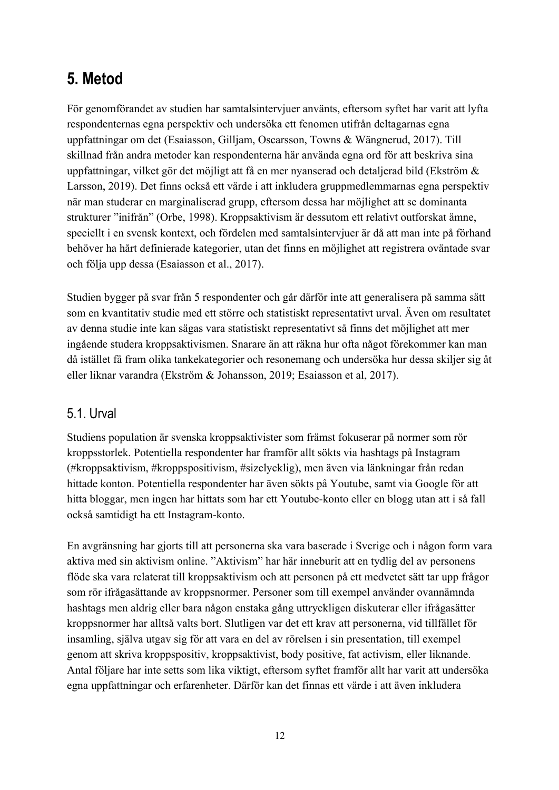# **5. Metod**

För genomförandet av studien har samtalsintervjuer använts, eftersom syftet har varit att lyfta respondenternas egna perspektiv och undersöka ett fenomen utifrån deltagarnas egna uppfattningar om det (Esaiasson, Gilljam, Oscarsson, Towns & Wängnerud, 2017). Till skillnad från andra metoder kan respondenterna här använda egna ord för att beskriva sina uppfattningar, vilket gör det möjligt att få en mer nyanserad och detaljerad bild (Ekström & Larsson, 2019). Det finns också ett värde i att inkludera gruppmedlemmarnas egna perspektiv när man studerar en marginaliserad grupp, eftersom dessa har möjlighet att se dominanta strukturer "inifrån" (Orbe, 1998). Kroppsaktivism är dessutom ett relativt outforskat ämne, speciellt i en svensk kontext, och fördelen med samtalsintervjuer är då att man inte på förhand behöver ha hårt definierade kategorier, utan det finns en möjlighet att registrera oväntade svar och följa upp dessa (Esaiasson et al., 2017).

Studien bygger på svar från 5 respondenter och går därför inte att generalisera på samma sätt som en kvantitativ studie med ett större och statistiskt representativt urval. Även om resultatet av denna studie inte kan sägas vara statistiskt representativt så finns det möjlighet att mer ingående studera kroppsaktivismen. Snarare än att räkna hur ofta något förekommer kan man då istället få fram olika tankekategorier och resonemang och undersöka hur dessa skiljer sig åt eller liknar varandra (Ekström & Johansson, 2019; Esaiasson et al, 2017).

### 5.1. Urval

Studiens population är svenska kroppsaktivister som främst fokuserar på normer som rör kroppsstorlek. Potentiella respondenter har framför allt sökts via hashtags på Instagram (#kroppsaktivism, #kroppspositivism, #sizelycklig), men även via länkningar från redan hittade konton. Potentiella respondenter har även sökts på Youtube, samt via Google för att hitta bloggar, men ingen har hittats som har ett Youtube-konto eller en blogg utan att i så fall också samtidigt ha ett Instagram-konto.

En avgränsning har gjorts till att personerna ska vara baserade i Sverige och i någon form vara aktiva med sin aktivism online. "Aktivism" har här inneburit att en tydlig del av personens flöde ska vara relaterat till kroppsaktivism och att personen på ett medvetet sätt tar upp frågor som rör ifrågasättande av kroppsnormer. Personer som till exempel använder ovannämnda hashtags men aldrig eller bara någon enstaka gång uttryckligen diskuterar eller ifrågasätter kroppsnormer har alltså valts bort. Slutligen var det ett krav att personerna, vid tillfället för insamling, själva utgav sig för att vara en del av rörelsen i sin presentation, till exempel genom att skriva kroppspositiv, kroppsaktivist, body positive, fat activism, eller liknande. Antal följare har inte setts som lika viktigt, eftersom syftet framför allt har varit att undersöka egna uppfattningar och erfarenheter. Därför kan det finnas ett värde i att även inkludera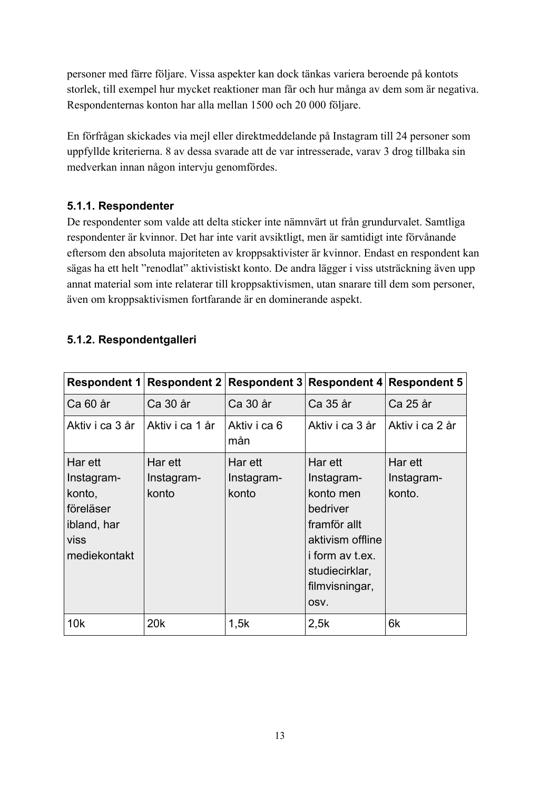personer med färre följare. Vissa aspekter kan dock tänkas variera beroende på kontots storlek, till exempel hur mycket reaktioner man får och hur många av dem som är negativa. Respondenternas konton har alla mellan 1500 och 20 000 följare.

En förfrågan skickades via mejl eller direktmeddelande på Instagram till 24 personer som uppfyllde kriterierna. 8 av dessa svarade att de var intresserade, varav 3 drog tillbaka sin medverkan innan någon intervju genomfördes.

#### **5.1.1. Respondenter**

De respondenter som valde att delta sticker inte nämnvärt ut från grundurvalet. Samtliga respondenter är kvinnor. Det har inte varit avsiktligt, men är samtidigt inte förvånande eftersom den absoluta majoriteten av kroppsaktivister är kvinnor. Endast en respondent kan sägas ha ett helt "renodlat" aktivistiskt konto. De andra lägger i viss utsträckning även upp annat material som inte relaterar till kroppsaktivismen, utan snarare till dem som personer, även om kroppsaktivismen fortfarande är en dominerande aspekt.

#### **5.1.2. Respondentgalleri**

| Respondent 1                                                                        | Respondent 2                   | <b>Respondent 3</b>            |                                                                                                                                                          | <b>Respondent 4 Respondent 5</b> |
|-------------------------------------------------------------------------------------|--------------------------------|--------------------------------|----------------------------------------------------------------------------------------------------------------------------------------------------------|----------------------------------|
| Ca 60 år                                                                            | Ca 30 år                       | Ca 30 år                       | Ca 35 år                                                                                                                                                 | Ca 25 år                         |
| Aktiv i ca 3 år                                                                     | Aktiv i ca 1 år                | Aktiv i ca 6<br>mån            | Aktiv i ca 3 år                                                                                                                                          | Aktiv i ca 2 år                  |
| Har ett<br>Instagram-<br>konto,<br>föreläser<br>ibland, har<br>viss<br>mediekontakt | Har ett<br>Instagram-<br>konto | Har ett<br>Instagram-<br>konto | Har ett<br>Instagram-<br>konto men<br>bedriver<br>framför allt<br>aktivism offline<br><i>i</i> form av t.ex.<br>studiecirklar,<br>filmvisningar,<br>OSV. | Har ett<br>Instagram-<br>konto.  |
| 10k                                                                                 | 20 <sub>k</sub>                | 1,5k                           | 2,5k                                                                                                                                                     | 6k                               |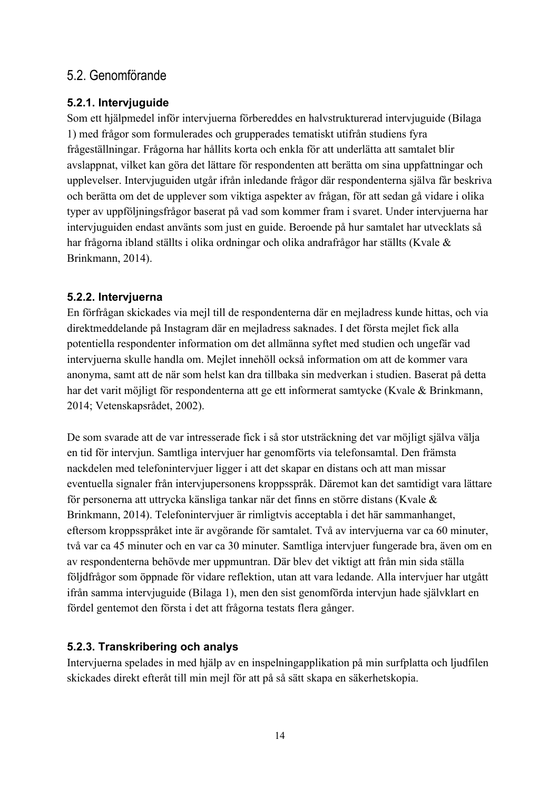### 5.2. Genomförande

#### **5.2.1. Intervjuguide**

Som ett hjälpmedel inför intervjuerna förbereddes en halvstrukturerad intervjuguide (Bilaga 1) med frågor som formulerades och grupperades tematiskt utifrån studiens fyra frågeställningar. Frågorna har hållits korta och enkla för att underlätta att samtalet blir avslappnat, vilket kan göra det lättare för respondenten att berätta om sina uppfattningar och upplevelser. Intervjuguiden utgår ifrån inledande frågor där respondenterna själva får beskriva och berätta om det de upplever som viktiga aspekter av frågan, för att sedan gå vidare i olika typer av uppföljningsfrågor baserat på vad som kommer fram i svaret. Under intervjuerna har intervjuguiden endast använts som just en guide. Beroende på hur samtalet har utvecklats så har frågorna ibland ställts i olika ordningar och olika andrafrågor har ställts (Kvale & Brinkmann, 2014).

#### **5.2.2. Intervjuerna**

En förfrågan skickades via mejl till de respondenterna där en mejladress kunde hittas, och via direktmeddelande på Instagram där en mejladress saknades. I det första mejlet fick alla potentiella respondenter information om det allmänna syftet med studien och ungefär vad intervjuerna skulle handla om. Mejlet innehöll också information om att de kommer vara anonyma, samt att de när som helst kan dra tillbaka sin medverkan i studien. Baserat på detta har det varit möjligt för respondenterna att ge ett informerat samtycke (Kvale & Brinkmann, 2014; Vetenskapsrådet, 2002).

De som svarade att de var intresserade fick i så stor utsträckning det var möjligt själva välja en tid för intervjun. Samtliga intervjuer har genomförts via telefonsamtal. Den främsta nackdelen med telefonintervjuer ligger i att det skapar en distans och att man missar eventuella signaler från intervjupersonens kroppsspråk. Däremot kan det samtidigt vara lättare för personerna att uttrycka känsliga tankar när det finns en större distans (Kvale & Brinkmann, 2014). Telefonintervjuer är rimligtvis acceptabla i det här sammanhanget, eftersom kroppsspråket inte är avgörande för samtalet. Två av intervjuerna var ca 60 minuter, två var ca 45 minuter och en var ca 30 minuter. Samtliga intervjuer fungerade bra, även om en av respondenterna behövde mer uppmuntran. Där blev det viktigt att från min sida ställa följdfrågor som öppnade för vidare reflektion, utan att vara ledande. Alla intervjuer har utgått ifrån samma intervjuguide (Bilaga 1), men den sist genomförda intervjun hade självklart en fördel gentemot den första i det att frågorna testats flera gånger.

#### **5.2.3. Transkribering och analys**

Intervjuerna spelades in med hjälp av en inspelningapplikation på min surfplatta och ljudfilen skickades direkt efteråt till min mejl för att på så sätt skapa en säkerhetskopia.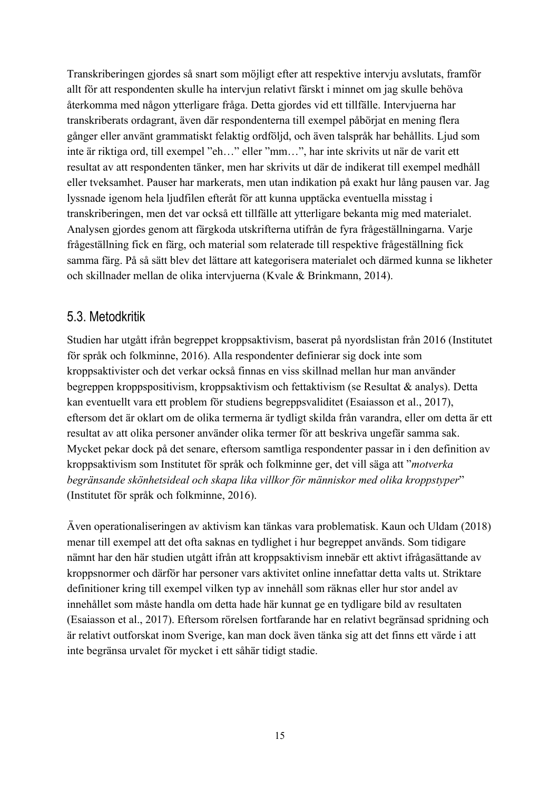Transkriberingen gjordes så snart som möjligt efter att respektive intervju avslutats, framför allt för att respondenten skulle ha intervjun relativt färskt i minnet om jag skulle behöva återkomma med någon ytterligare fråga. Detta gjordes vid ett tillfälle. Intervjuerna har transkriberats ordagrant, även där respondenterna till exempel påbörjat en mening flera gånger eller använt grammatiskt felaktig ordföljd, och även talspråk har behållits. Ljud som inte är riktiga ord, till exempel "eh…" eller "mm…", har inte skrivits ut när de varit ett resultat av att respondenten tänker, men har skrivits ut där de indikerat till exempel medhåll eller tveksamhet. Pauser har markerats, men utan indikation på exakt hur lång pausen var. Jag lyssnade igenom hela ljudfilen efteråt för att kunna upptäcka eventuella misstag i transkriberingen, men det var också ett tillfälle att ytterligare bekanta mig med materialet. Analysen gjordes genom att färgkoda utskrifterna utifrån de fyra frågeställningarna. Varje frågeställning fick en färg, och material som relaterade till respektive frågeställning fick samma färg. På så sätt blev det lättare att kategorisera materialet och därmed kunna se likheter och skillnader mellan de olika intervjuerna (Kvale & Brinkmann, 2014).

### 5.3. Metodkritik

Studien har utgått ifrån begreppet kroppsaktivism, baserat på nyordslistan från 2016 (Institutet för språk och folkminne, 2016). Alla respondenter definierar sig dock inte som kroppsaktivister och det verkar också finnas en viss skillnad mellan hur man använder begreppen kroppspositivism, kroppsaktivism och fettaktivism (se Resultat & analys). Detta kan eventuellt vara ett problem för studiens begreppsvaliditet (Esaiasson et al., 2017), eftersom det är oklart om de olika termerna är tydligt skilda från varandra, eller om detta är ett resultat av att olika personer använder olika termer för att beskriva ungefär samma sak. Mycket pekar dock på det senare, eftersom samtliga respondenter passar in i den definition av kroppsaktivism som Institutet för språk och folkminne ger, det vill säga att "*motverka begränsande skönhetsideal och skapa lika villkor för människor med olika kroppstyper*" (Institutet för språk och folkminne, 2016).

Även operationaliseringen av aktivism kan tänkas vara problematisk. Kaun och Uldam (2018) menar till exempel att det ofta saknas en tydlighet i hur begreppet används. Som tidigare nämnt har den här studien utgått ifrån att kroppsaktivism innebär ett aktivt ifrågasättande av kroppsnormer och därför har personer vars aktivitet online innefattar detta valts ut. Striktare definitioner kring till exempel vilken typ av innehåll som räknas eller hur stor andel av innehållet som måste handla om detta hade här kunnat ge en tydligare bild av resultaten (Esaiasson et al., 2017). Eftersom rörelsen fortfarande har en relativt begränsad spridning och är relativt outforskat inom Sverige, kan man dock även tänka sig att det finns ett värde i att inte begränsa urvalet för mycket i ett såhär tidigt stadie.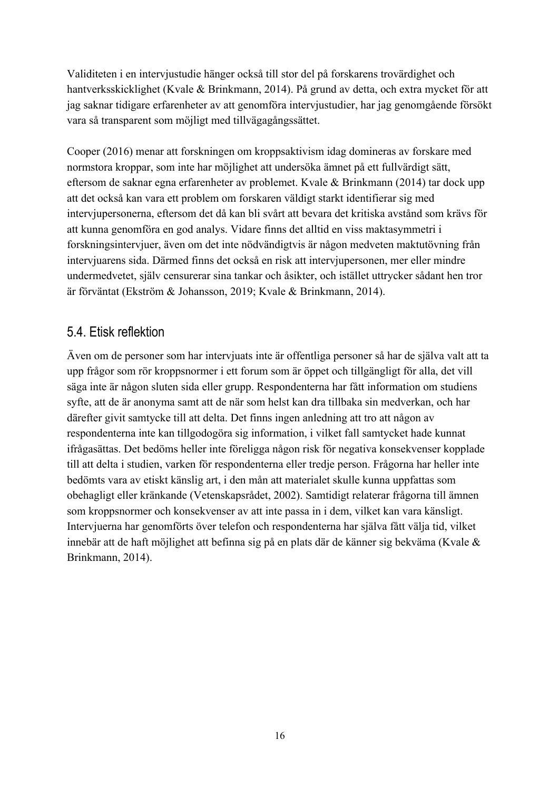Validiteten i en intervjustudie hänger också till stor del på forskarens trovärdighet och hantverksskicklighet (Kvale & Brinkmann, 2014). På grund av detta, och extra mycket för att jag saknar tidigare erfarenheter av att genomföra intervjustudier, har jag genomgående försökt vara så transparent som möjligt med tillvägagångssättet.

Cooper (2016) menar att forskningen om kroppsaktivism idag domineras av forskare med normstora kroppar, som inte har möjlighet att undersöka ämnet på ett fullvärdigt sätt, eftersom de saknar egna erfarenheter av problemet. Kvale & Brinkmann (2014) tar dock upp att det också kan vara ett problem om forskaren väldigt starkt identifierar sig med intervjupersonerna, eftersom det då kan bli svårt att bevara det kritiska avstånd som krävs för att kunna genomföra en god analys. Vidare finns det alltid en viss maktasymmetri i forskningsintervjuer, även om det inte nödvändigtvis är någon medveten maktutövning från intervjuarens sida. Därmed finns det också en risk att intervjupersonen, mer eller mindre undermedvetet, själv censurerar sina tankar och åsikter, och istället uttrycker sådant hen tror är förväntat (Ekström & Johansson, 2019; Kvale & Brinkmann, 2014).

### 5.4. Etisk reflektion

Även om de personer som har intervjuats inte är offentliga personer så har de själva valt att ta upp frågor som rör kroppsnormer i ett forum som är öppet och tillgängligt för alla, det vill säga inte är någon sluten sida eller grupp. Respondenterna har fått information om studiens syfte, att de är anonyma samt att de när som helst kan dra tillbaka sin medverkan, och har därefter givit samtycke till att delta. Det finns ingen anledning att tro att någon av respondenterna inte kan tillgodogöra sig information, i vilket fall samtycket hade kunnat ifrågasättas. Det bedöms heller inte föreligga någon risk för negativa konsekvenser kopplade till att delta i studien, varken för respondenterna eller tredje person. Frågorna har heller inte bedömts vara av etiskt känslig art, i den mån att materialet skulle kunna uppfattas som obehagligt eller kränkande (Vetenskapsrådet, 2002). Samtidigt relaterar frågorna till ämnen som kroppsnormer och konsekvenser av att inte passa in i dem, vilket kan vara känsligt. Intervjuerna har genomförts över telefon och respondenterna har själva fått välja tid, vilket innebär att de haft möjlighet att befinna sig på en plats där de känner sig bekväma (Kvale & Brinkmann, 2014).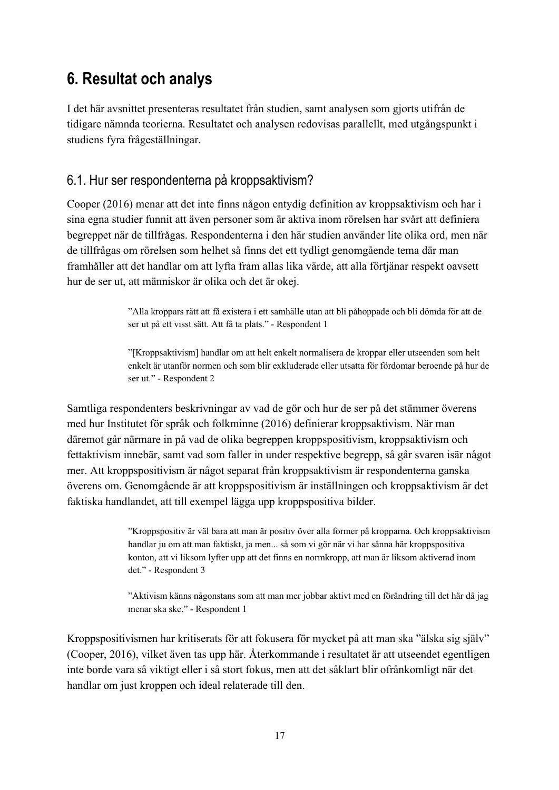# **6. Resultat och analys**

I det här avsnittet presenteras resultatet från studien, samt analysen som gjorts utifrån de tidigare nämnda teorierna. Resultatet och analysen redovisas parallellt, med utgångspunkt i studiens fyra frågeställningar.

### 6.1. Hur ser respondenterna på kroppsaktivism?

Cooper (2016) menar att det inte finns någon entydig definition av kroppsaktivism och har i sina egna studier funnit att även personer som är aktiva inom rörelsen har svårt att definiera begreppet när de tillfrågas. Respondenterna i den här studien använder lite olika ord, men när de tillfrågas om rörelsen som helhet så finns det ett tydligt genomgående tema där man framhåller att det handlar om att lyfta fram allas lika värde, att alla förtjänar respekt oavsett hur de ser ut, att människor är olika och det är okej.

> "Alla kroppars rätt att få existera i ett samhälle utan att bli påhoppade och bli dömda för att de ser ut på ett visst sätt. Att få ta plats." - Respondent 1

"[Kroppsaktivism] handlar om att helt enkelt normalisera de kroppar eller utseenden som helt enkelt är utanför normen och som blir exkluderade eller utsatta för fördomar beroende på hur de ser ut." - Respondent 2

Samtliga respondenters beskrivningar av vad de gör och hur de ser på det stämmer överens med hur Institutet för språk och folkminne (2016) definierar kroppsaktivism. När man däremot går närmare in på vad de olika begreppen kroppspositivism, kroppsaktivism och fettaktivism innebär, samt vad som faller in under respektive begrepp, så går svaren isär något mer. Att kroppspositivism är något separat från kroppsaktivism är respondenterna ganska överens om. Genomgående är att kroppspositivism är inställningen och kroppsaktivism är det faktiska handlandet, att till exempel lägga upp kroppspositiva bilder.

> "Kroppspositiv är väl bara att man är positiv över alla former på kropparna. Och kroppsaktivism handlar ju om att man faktiskt, ja men... så som vi gör när vi har sånna här kroppspositiva konton, att vi liksom lyfter upp att det finns en normkropp, att man är liksom aktiverad inom det." - Respondent 3

> "Aktivism känns någonstans som att man mer jobbar aktivt med en förändring till det här då jag menar ska ske." - Respondent 1

Kroppspositivismen har kritiserats för att fokusera för mycket på att man ska "älska sig själv" (Cooper, 2016), vilket även tas upp här. Återkommande i resultatet är att utseendet egentligen inte borde vara så viktigt eller i så stort fokus, men att det såklart blir ofrånkomligt när det handlar om just kroppen och ideal relaterade till den.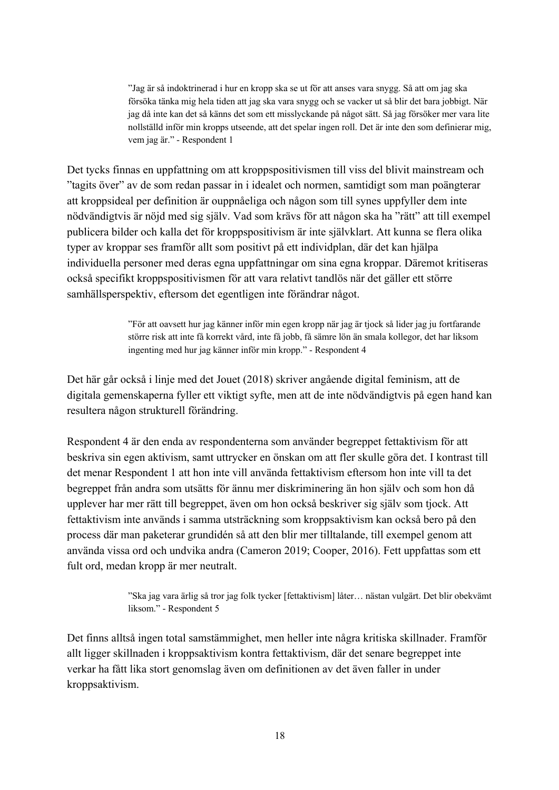"Jag är så indoktrinerad i hur en kropp ska se ut för att anses vara snygg. Så att om jag ska försöka tänka mig hela tiden att jag ska vara snygg och se vacker ut så blir det bara jobbigt. När jag då inte kan det så känns det som ett misslyckande på något sätt. Så jag försöker mer vara lite nollställd inför min kropps utseende, att det spelar ingen roll. Det är inte den som definierar mig, vem jag är." - Respondent 1

Det tycks finnas en uppfattning om att kroppspositivismen till viss del blivit mainstream och "tagits över" av de som redan passar in i idealet och normen, samtidigt som man poängterar att kroppsideal per definition är ouppnåeliga och någon som till synes uppfyller dem inte nödvändigtvis är nöjd med sig själv. Vad som krävs för att någon ska ha "rätt" att till exempel publicera bilder och kalla det för kroppspositivism är inte självklart. Att kunna se flera olika typer av kroppar ses framför allt som positivt på ett individplan, där det kan hjälpa individuella personer med deras egna uppfattningar om sina egna kroppar. Däremot kritiseras också specifikt kroppspositivismen för att vara relativt tandlös när det gäller ett större samhällsperspektiv, eftersom det egentligen inte förändrar något.

> "För att oavsett hur jag känner inför min egen kropp när jag är tjock så lider jag ju fortfarande större risk att inte få korrekt vård, inte få jobb, få sämre lön än smala kollegor, det har liksom ingenting med hur jag känner inför min kropp." - Respondent 4

Det här går också i linje med det Jouet (2018) skriver angående digital feminism, att de digitala gemenskaperna fyller ett viktigt syfte, men att de inte nödvändigtvis på egen hand kan resultera någon strukturell förändring.

Respondent 4 är den enda av respondenterna som använder begreppet fettaktivism för att beskriva sin egen aktivism, samt uttrycker en önskan om att fler skulle göra det. I kontrast till det menar Respondent 1 att hon inte vill använda fettaktivism eftersom hon inte vill ta det begreppet från andra som utsätts för ännu mer diskriminering än hon själv och som hon då upplever har mer rätt till begreppet, även om hon också beskriver sig själv som tjock. Att fettaktivism inte används i samma utsträckning som kroppsaktivism kan också bero på den process där man paketerar grundidén så att den blir mer tilltalande, till exempel genom att använda vissa ord och undvika andra (Cameron 2019; Cooper, 2016). Fett uppfattas som ett fult ord, medan kropp är mer neutralt.

> "Ska jag vara ärlig så tror jag folk tycker [fettaktivism] låter… nästan vulgärt. Det blir obekvämt liksom." - Respondent 5

Det finns alltså ingen total samstämmighet, men heller inte några kritiska skillnader. Framför allt ligger skillnaden i kroppsaktivism kontra fettaktivism, där det senare begreppet inte verkar ha fått lika stort genomslag även om definitionen av det även faller in under kroppsaktivism.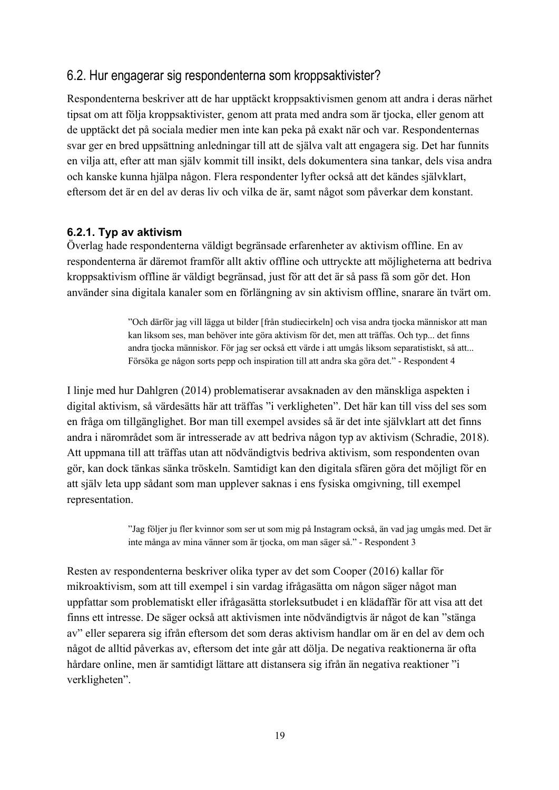### 6.2. Hur engagerar sig respondenterna som kroppsaktivister?

Respondenterna beskriver att de har upptäckt kroppsaktivismen genom att andra i deras närhet tipsat om att följa kroppsaktivister, genom att prata med andra som är tjocka, eller genom att de upptäckt det på sociala medier men inte kan peka på exakt när och var. Respondenternas svar ger en bred uppsättning anledningar till att de själva valt att engagera sig. Det har funnits en vilja att, efter att man själv kommit till insikt, dels dokumentera sina tankar, dels visa andra och kanske kunna hjälpa någon. Flera respondenter lyfter också att det kändes självklart, eftersom det är en del av deras liv och vilka de är, samt något som påverkar dem konstant.

#### **6.2.1. Typ av aktivism**

Överlag hade respondenterna väldigt begränsade erfarenheter av aktivism offline. En av respondenterna är däremot framför allt aktiv offline och uttryckte att möjligheterna att bedriva kroppsaktivism offline är väldigt begränsad, just för att det är så pass få som gör det. Hon använder sina digitala kanaler som en förlängning av sin aktivism offline, snarare än tvärt om.

> "Och därför jag vill lägga ut bilder [från studiecirkeln] och visa andra tjocka människor att man kan liksom ses, man behöver inte göra aktivism för det, men att träffas. Och typ... det finns andra tjocka människor. För jag ser också ett värde i att umgås liksom separatistiskt, så att... Försöka ge någon sorts pepp och inspiration till att andra ska göra det." - Respondent 4

I linje med hur Dahlgren (2014) problematiserar avsaknaden av den mänskliga aspekten i digital aktivism, så värdesätts här att träffas "i verkligheten". Det här kan till viss del ses som en fråga om tillgänglighet. Bor man till exempel avsides så är det inte självklart att det finns andra i närområdet som är intresserade av att bedriva någon typ av aktivism (Schradie, 2018). Att uppmana till att träffas utan att nödvändigtvis bedriva aktivism, som respondenten ovan gör, kan dock tänkas sänka tröskeln. Samtidigt kan den digitala sfären göra det möjligt för en att själv leta upp sådant som man upplever saknas i ens fysiska omgivning, till exempel representation.

> "Jag följer ju fler kvinnor som ser ut som mig på Instagram också, än vad jag umgås med. Det är inte många av mina vänner som är tjocka, om man säger så." - Respondent 3

Resten av respondenterna beskriver olika typer av det som Cooper (2016) kallar för mikroaktivism, som att till exempel i sin vardag ifrågasätta om någon säger något man uppfattar som problematiskt eller ifrågasätta storleksutbudet i en klädaffär för att visa att det finns ett intresse. De säger också att aktivismen inte nödvändigtvis är något de kan "stänga av" eller separera sig ifrån eftersom det som deras aktivism handlar om är en del av dem och något de alltid påverkas av, eftersom det inte går att dölja. De negativa reaktionerna är ofta hårdare online, men är samtidigt lättare att distansera sig ifrån än negativa reaktioner "i verkligheten".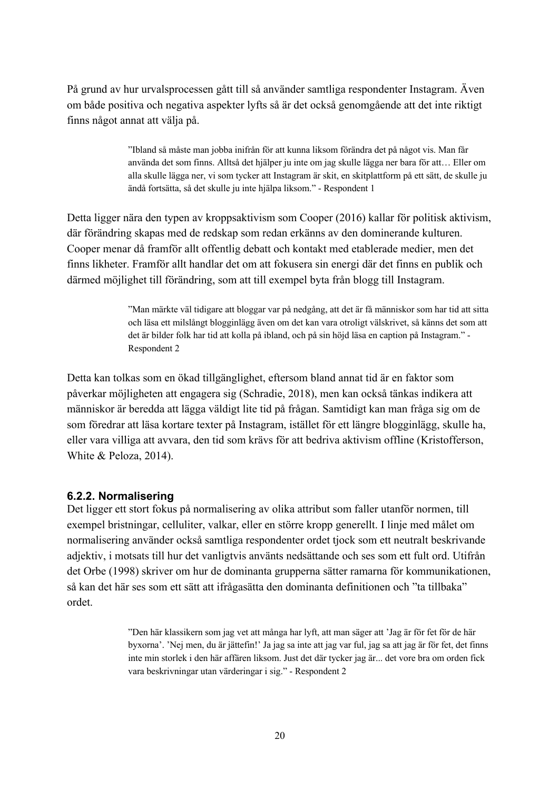På grund av hur urvalsprocessen gått till så använder samtliga respondenter Instagram. Även om både positiva och negativa aspekter lyfts så är det också genomgående att det inte riktigt finns något annat att välja på.

> "Ibland så måste man jobba inifrån för att kunna liksom förändra det på något vis. Man får använda det som finns. Alltså det hjälper ju inte om jag skulle lägga ner bara för att… Eller om alla skulle lägga ner, vi som tycker att Instagram är skit, en skitplattform på ett sätt, de skulle ju ändå fortsätta, så det skulle ju inte hjälpa liksom." - Respondent 1

Detta ligger nära den typen av kroppsaktivism som Cooper (2016) kallar för politisk aktivism, där förändring skapas med de redskap som redan erkänns av den dominerande kulturen. Cooper menar då framför allt offentlig debatt och kontakt med etablerade medier, men det finns likheter. Framför allt handlar det om att fokusera sin energi där det finns en publik och därmed möjlighet till förändring, som att till exempel byta från blogg till Instagram.

> "Man märkte väl tidigare att bloggar var på nedgång, att det är få människor som har tid att sitta och läsa ett milslångt blogginlägg även om det kan vara otroligt välskrivet, så känns det som att det är bilder folk har tid att kolla på ibland, och på sin höjd läsa en caption på Instagram." - Respondent 2

Detta kan tolkas som en ökad tillgänglighet, eftersom bland annat tid är en faktor som påverkar möjligheten att engagera sig (Schradie, 2018), men kan också tänkas indikera att människor är beredda att lägga väldigt lite tid på frågan. Samtidigt kan man fråga sig om de som föredrar att läsa kortare texter på Instagram, istället för ett längre blogginlägg, skulle ha, eller vara villiga att avvara, den tid som krävs för att bedriva aktivism offline (Kristofferson, White & Peloza, 2014).

#### **6.2.2. Normalisering**

Det ligger ett stort fokus på normalisering av olika attribut som faller utanför normen, till exempel bristningar, celluliter, valkar, eller en större kropp generellt. I linje med målet om normalisering använder också samtliga respondenter ordet tjock som ett neutralt beskrivande adjektiv, i motsats till hur det vanligtvis använts nedsättande och ses som ett fult ord. Utifrån det Orbe (1998) skriver om hur de dominanta grupperna sätter ramarna för kommunikationen, så kan det här ses som ett sätt att ifrågasätta den dominanta definitionen och "ta tillbaka" ordet.

> "Den här klassikern som jag vet att många har lyft, att man säger att 'Jag är för fet för de här byxorna'. 'Nej men, du är jättefin!' Ja jag sa inte att jag var ful, jag sa att jag är för fet, det finns inte min storlek i den här affären liksom. Just det där tycker jag är... det vore bra om orden fick vara beskrivningar utan värderingar i sig." - Respondent 2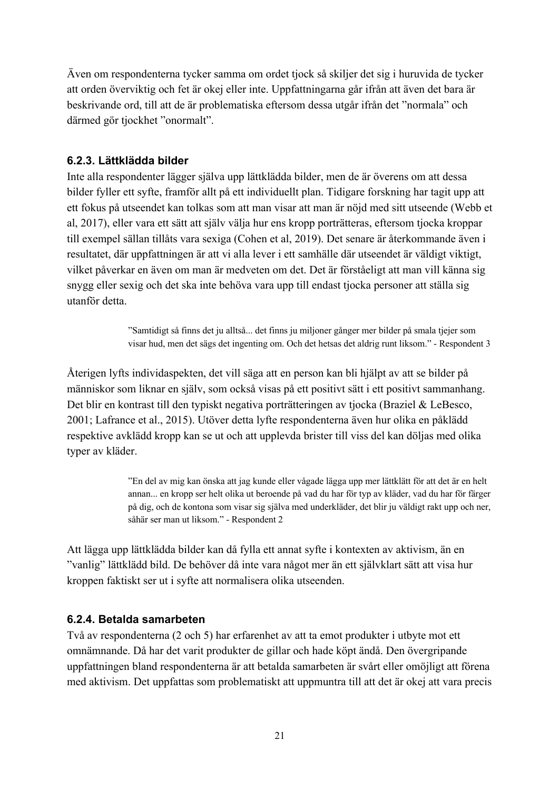Även om respondenterna tycker samma om ordet tjock så skiljer det sig i huruvida de tycker att orden överviktig och fet är okej eller inte. Uppfattningarna går ifrån att även det bara är beskrivande ord, till att de är problematiska eftersom dessa utgår ifrån det "normala" och därmed gör tjockhet "onormalt".

#### **6.2.3. Lättklädda bilder**

Inte alla respondenter lägger själva upp lättklädda bilder, men de är överens om att dessa bilder fyller ett syfte, framför allt på ett individuellt plan. Tidigare forskning har tagit upp att ett fokus på utseendet kan tolkas som att man visar att man är nöjd med sitt utseende (Webb et al, 2017), eller vara ett sätt att själv välja hur ens kropp porträtteras, eftersom tjocka kroppar till exempel sällan tillåts vara sexiga (Cohen et al, 2019). Det senare är återkommande även i resultatet, där uppfattningen är att vi alla lever i ett samhälle där utseendet är väldigt viktigt, vilket påverkar en även om man är medveten om det. Det är förståeligt att man vill känna sig snygg eller sexig och det ska inte behöva vara upp till endast tjocka personer att ställa sig utanför detta.

> "Samtidigt så finns det ju alltså... det finns ju miljoner gånger mer bilder på smala tjejer som visar hud, men det sägs det ingenting om. Och det hetsas det aldrig runt liksom." - Respondent 3

Återigen lyfts individaspekten, det vill säga att en person kan bli hjälpt av att se bilder på människor som liknar en själv, som också visas på ett positivt sätt i ett positivt sammanhang. Det blir en kontrast till den typiskt negativa porträtteringen av tjocka (Braziel & LeBesco, 2001; Lafrance et al., 2015). Utöver detta lyfte respondenterna även hur olika en påklädd respektive avklädd kropp kan se ut och att upplevda brister till viss del kan döljas med olika typer av kläder.

> "En del av mig kan önska att jag kunde eller vågade lägga upp mer lättklätt för att det är en helt annan... en kropp ser helt olika ut beroende på vad du har för typ av kläder, vad du har för färger på dig, och de kontona som visar sig själva med underkläder, det blir ju väldigt rakt upp och ner, såhär ser man ut liksom." - Respondent 2

Att lägga upp lättklädda bilder kan då fylla ett annat syfte i kontexten av aktivism, än en "vanlig" lättklädd bild. De behöver då inte vara något mer än ett självklart sätt att visa hur kroppen faktiskt ser ut i syfte att normalisera olika utseenden.

#### **6.2.4. Betalda samarbeten**

Två av respondenterna (2 och 5) har erfarenhet av att ta emot produkter i utbyte mot ett omnämnande. Då har det varit produkter de gillar och hade köpt ändå. Den övergripande uppfattningen bland respondenterna är att betalda samarbeten är svårt eller omöjligt att förena med aktivism. Det uppfattas som problematiskt att uppmuntra till att det är okej att vara precis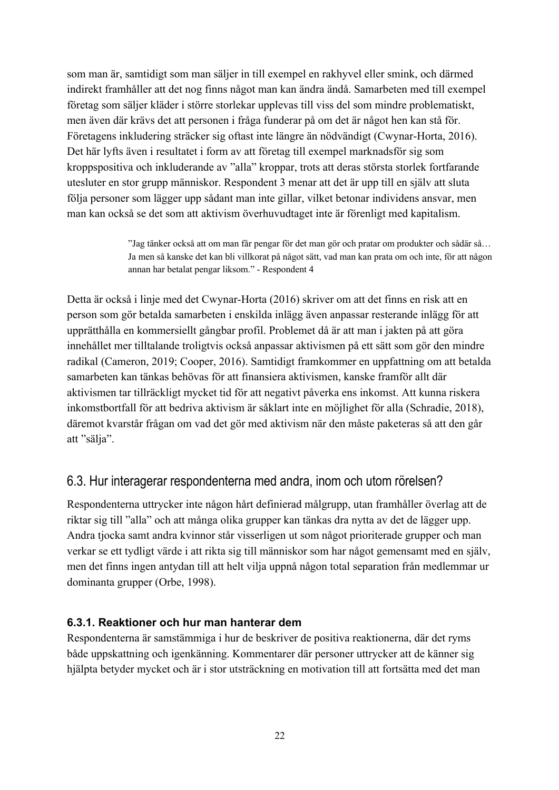som man är, samtidigt som man säljer in till exempel en rakhyvel eller smink, och därmed indirekt framhåller att det nog finns något man kan ändra ändå. Samarbeten med till exempel företag som säljer kläder i större storlekar upplevas till viss del som mindre problematiskt, men även där krävs det att personen i fråga funderar på om det är något hen kan stå för. Företagens inkludering sträcker sig oftast inte längre än nödvändigt (Cwynar-Horta, 2016). Det här lyfts även i resultatet i form av att företag till exempel marknadsför sig som kroppspositiva och inkluderande av "alla" kroppar, trots att deras största storlek fortfarande utesluter en stor grupp människor. Respondent 3 menar att det är upp till en själv att sluta följa personer som lägger upp sådant man inte gillar, vilket betonar individens ansvar, men man kan också se det som att aktivism överhuvudtaget inte är förenligt med kapitalism.

> "Jag tänker också att om man får pengar för det man gör och pratar om produkter och sådär så… Ja men så kanske det kan bli villkorat på något sätt, vad man kan prata om och inte, för att någon annan har betalat pengar liksom." - Respondent 4

Detta är också i linje med det Cwynar-Horta (2016) skriver om att det finns en risk att en person som gör betalda samarbeten i enskilda inlägg även anpassar resterande inlägg för att upprätthålla en kommersiellt gångbar profil. Problemet då är att man i jakten på att göra innehållet mer tilltalande troligtvis också anpassar aktivismen på ett sätt som gör den mindre radikal (Cameron, 2019; Cooper, 2016). Samtidigt framkommer en uppfattning om att betalda samarbeten kan tänkas behövas för att finansiera aktivismen, kanske framför allt där aktivismen tar tillräckligt mycket tid för att negativt påverka ens inkomst. Att kunna riskera inkomstbortfall för att bedriva aktivism är såklart inte en möjlighet för alla (Schradie, 2018), däremot kvarstår frågan om vad det gör med aktivism när den måste paketeras så att den går att "sälja".

## 6.3. Hur interagerar respondenterna med andra, inom och utom rörelsen?

Respondenterna uttrycker inte någon hårt definierad målgrupp, utan framhåller överlag att de riktar sig till "alla" och att många olika grupper kan tänkas dra nytta av det de lägger upp. Andra tjocka samt andra kvinnor står visserligen ut som något prioriterade grupper och man verkar se ett tydligt värde i att rikta sig till människor som har något gemensamt med en själv, men det finns ingen antydan till att helt vilja uppnå någon total separation från medlemmar ur dominanta grupper (Orbe, 1998).

#### **6.3.1. Reaktioner och hur man hanterar dem**

Respondenterna är samstämmiga i hur de beskriver de positiva reaktionerna, där det ryms både uppskattning och igenkänning. Kommentarer där personer uttrycker att de känner sig hjälpta betyder mycket och är i stor utsträckning en motivation till att fortsätta med det man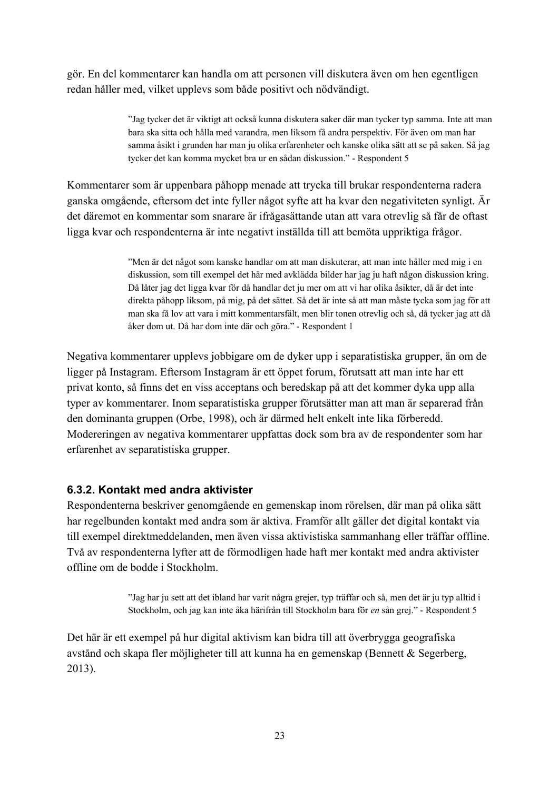gör. En del kommentarer kan handla om att personen vill diskutera även om hen egentligen redan håller med, vilket upplevs som både positivt och nödvändigt.

> "Jag tycker det är viktigt att också kunna diskutera saker där man tycker typ samma. Inte att man bara ska sitta och hålla med varandra, men liksom få andra perspektiv. För även om man har samma åsikt i grunden har man ju olika erfarenheter och kanske olika sätt att se på saken. Så jag tycker det kan komma mycket bra ur en sådan diskussion." - Respondent 5

Kommentarer som är uppenbara påhopp menade att trycka till brukar respondenterna radera ganska omgående, eftersom det inte fyller något syfte att ha kvar den negativiteten synligt. Är det däremot en kommentar som snarare är ifrågasättande utan att vara otrevlig så får de oftast ligga kvar och respondenterna är inte negativt inställda till att bemöta uppriktiga frågor.

> "Men är det något som kanske handlar om att man diskuterar, att man inte håller med mig i en diskussion, som till exempel det här med avklädda bilder har jag ju haft någon diskussion kring. Då låter jag det ligga kvar för då handlar det ju mer om att vi har olika åsikter, då är det inte direkta påhopp liksom, på mig, på det sättet. Så det är inte så att man måste tycka som jag för att man ska få lov att vara i mitt kommentarsfält, men blir tonen otrevlig och så, då tycker jag att då åker dom ut. Då har dom inte där och göra." - Respondent 1

Negativa kommentarer upplevs jobbigare om de dyker upp i separatistiska grupper, än om de ligger på Instagram. Eftersom Instagram är ett öppet forum, förutsatt att man inte har ett privat konto, så finns det en viss acceptans och beredskap på att det kommer dyka upp alla typer av kommentarer. Inom separatistiska grupper förutsätter man att man är separerad från den dominanta gruppen (Orbe, 1998), och är därmed helt enkelt inte lika förberedd. Modereringen av negativa kommentarer uppfattas dock som bra av de respondenter som har erfarenhet av separatistiska grupper.

#### **6.3.2. Kontakt med andra aktivister**

Respondenterna beskriver genomgående en gemenskap inom rörelsen, där man på olika sätt har regelbunden kontakt med andra som är aktiva. Framför allt gäller det digital kontakt via till exempel direktmeddelanden, men även vissa aktivistiska sammanhang eller träffar offline. Två av respondenterna lyfter att de förmodligen hade haft mer kontakt med andra aktivister offline om de bodde i Stockholm.

> "Jag har ju sett att det ibland har varit några grejer, typ träffar och så, men det är ju typ alltid i Stockholm, och jag kan inte åka härifrån till Stockholm bara för *en* sån grej." - Respondent 5

Det här är ett exempel på hur digital aktivism kan bidra till att överbrygga geografiska avstånd och skapa fler möjligheter till att kunna ha en gemenskap (Bennett & Segerberg, 2013).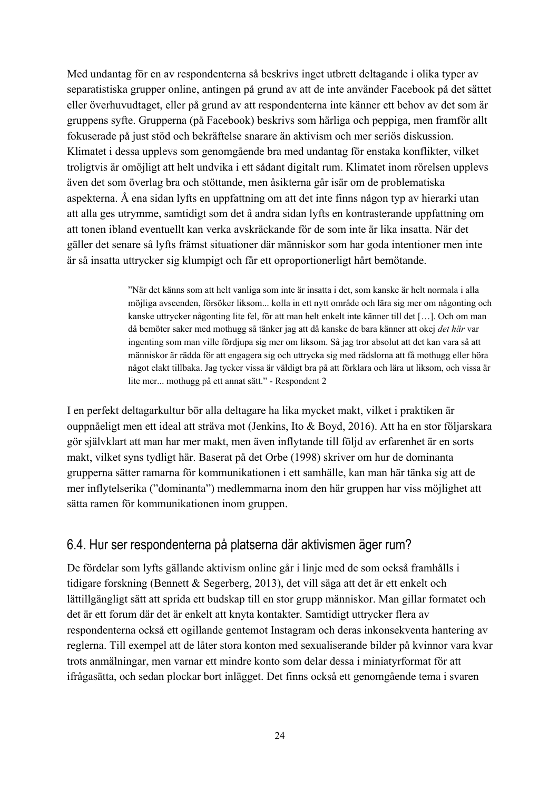Med undantag för en av respondenterna så beskrivs inget utbrett deltagande i olika typer av separatistiska grupper online, antingen på grund av att de inte använder Facebook på det sättet eller överhuvudtaget, eller på grund av att respondenterna inte känner ett behov av det som är gruppens syfte. Grupperna (på Facebook) beskrivs som härliga och peppiga, men framför allt fokuserade på just stöd och bekräftelse snarare än aktivism och mer seriös diskussion. Klimatet i dessa upplevs som genomgående bra med undantag för enstaka konflikter, vilket troligtvis är omöjligt att helt undvika i ett sådant digitalt rum. Klimatet inom rörelsen upplevs även det som överlag bra och stöttande, men åsikterna går isär om de problematiska aspekterna. Å ena sidan lyfts en uppfattning om att det inte finns någon typ av hierarki utan att alla ges utrymme, samtidigt som det å andra sidan lyfts en kontrasterande uppfattning om att tonen ibland eventuellt kan verka avskräckande för de som inte är lika insatta. När det gäller det senare så lyfts främst situationer där människor som har goda intentioner men inte är så insatta uttrycker sig klumpigt och får ett oproportionerligt hårt bemötande.

> "När det känns som att helt vanliga som inte är insatta i det, som kanske är helt normala i alla möjliga avseenden, försöker liksom... kolla in ett nytt område och lära sig mer om någonting och kanske uttrycker någonting lite fel, för att man helt enkelt inte känner till det […]. Och om man då bemöter saker med mothugg så tänker jag att då kanske de bara känner att okej *det här* var ingenting som man ville fördjupa sig mer om liksom. Så jag tror absolut att det kan vara så att människor är rädda för att engagera sig och uttrycka sig med rädslorna att få mothugg eller höra något elakt tillbaka. Jag tycker vissa är väldigt bra på att förklara och lära ut liksom, och vissa är lite mer... mothugg på ett annat sätt." - Respondent 2

I en perfekt deltagarkultur bör alla deltagare ha lika mycket makt, vilket i praktiken är ouppnåeligt men ett ideal att sträva mot (Jenkins, Ito & Boyd, 2016). Att ha en stor följarskara gör självklart att man har mer makt, men även inflytande till följd av erfarenhet är en sorts makt, vilket syns tydligt här. Baserat på det Orbe (1998) skriver om hur de dominanta grupperna sätter ramarna för kommunikationen i ett samhälle, kan man här tänka sig att de mer inflytelserika ("dominanta") medlemmarna inom den här gruppen har viss möjlighet att sätta ramen för kommunikationen inom gruppen.

#### 6.4. Hur ser respondenterna på platserna där aktivismen äger rum?

De fördelar som lyfts gällande aktivism online går i linje med de som också framhålls i tidigare forskning (Bennett & Segerberg, 2013), det vill säga att det är ett enkelt och lättillgängligt sätt att sprida ett budskap till en stor grupp människor. Man gillar formatet och det är ett forum där det är enkelt att knyta kontakter. Samtidigt uttrycker flera av respondenterna också ett ogillande gentemot Instagram och deras inkonsekventa hantering av reglerna. Till exempel att de låter stora konton med sexualiserande bilder på kvinnor vara kvar trots anmälningar, men varnar ett mindre konto som delar dessa i miniatyrformat för att ifrågasätta, och sedan plockar bort inlägget. Det finns också ett genomgående tema i svaren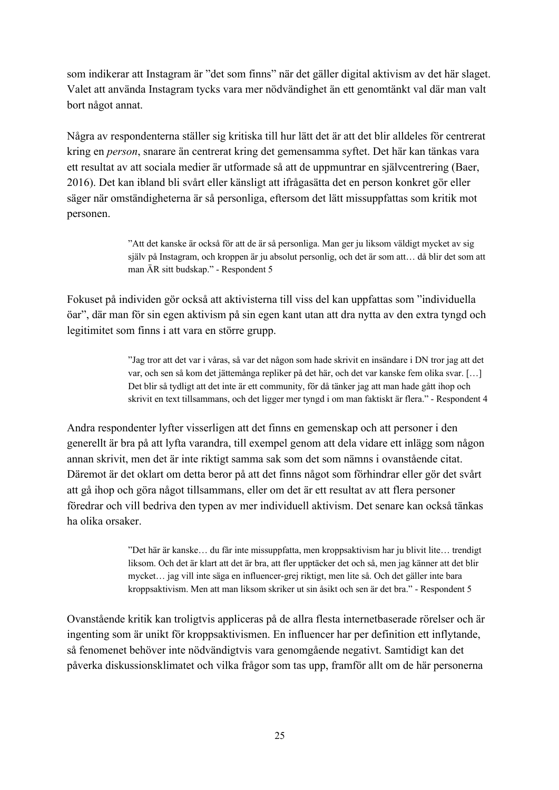som indikerar att Instagram är "det som finns" när det gäller digital aktivism av det här slaget. Valet att använda Instagram tycks vara mer nödvändighet än ett genomtänkt val där man valt bort något annat.

Några av respondenterna ställer sig kritiska till hur lätt det är att det blir alldeles för centrerat kring en *person*, snarare än centrerat kring det gemensamma syftet. Det här kan tänkas vara ett resultat av att sociala medier är utformade så att de uppmuntrar en självcentrering (Baer, 2016). Det kan ibland bli svårt eller känsligt att ifrågasätta det en person konkret gör eller säger när omständigheterna är så personliga, eftersom det lätt missuppfattas som kritik mot personen.

> "Att det kanske är också för att de är så personliga. Man ger ju liksom väldigt mycket av sig själv på Instagram, och kroppen är ju absolut personlig, och det är som att… då blir det som att man ÄR sitt budskap." - Respondent 5

Fokuset på individen gör också att aktivisterna till viss del kan uppfattas som "individuella öar", där man för sin egen aktivism på sin egen kant utan att dra nytta av den extra tyngd och legitimitet som finns i att vara en större grupp.

> "Jag tror att det var i våras, så var det någon som hade skrivit en insändare i DN tror jag att det var, och sen så kom det jättemånga repliker på det här, och det var kanske fem olika svar. […] Det blir så tydligt att det inte är ett community, för då tänker jag att man hade gått ihop och skrivit en text tillsammans, och det ligger mer tyngd i om man faktiskt är flera." - Respondent 4

Andra respondenter lyfter visserligen att det finns en gemenskap och att personer i den generellt är bra på att lyfta varandra, till exempel genom att dela vidare ett inlägg som någon annan skrivit, men det är inte riktigt samma sak som det som nämns i ovanstående citat. Däremot är det oklart om detta beror på att det finns något som förhindrar eller gör det svårt att gå ihop och göra något tillsammans, eller om det är ett resultat av att flera personer föredrar och vill bedriva den typen av mer individuell aktivism. Det senare kan också tänkas ha olika orsaker.

> "Det här är kanske… du får inte missuppfatta, men kroppsaktivism har ju blivit lite… trendigt liksom. Och det är klart att det är bra, att fler upptäcker det och så, men jag känner att det blir mycket… jag vill inte säga en influencer-grej riktigt, men lite så. Och det gäller inte bara kroppsaktivism. Men att man liksom skriker ut sin åsikt och sen är det bra." - Respondent 5

Ovanstående kritik kan troligtvis appliceras på de allra flesta internetbaserade rörelser och är ingenting som är unikt för kroppsaktivismen. En influencer har per definition ett inflytande, så fenomenet behöver inte nödvändigtvis vara genomgående negativt. Samtidigt kan det påverka diskussionsklimatet och vilka frågor som tas upp, framför allt om de här personerna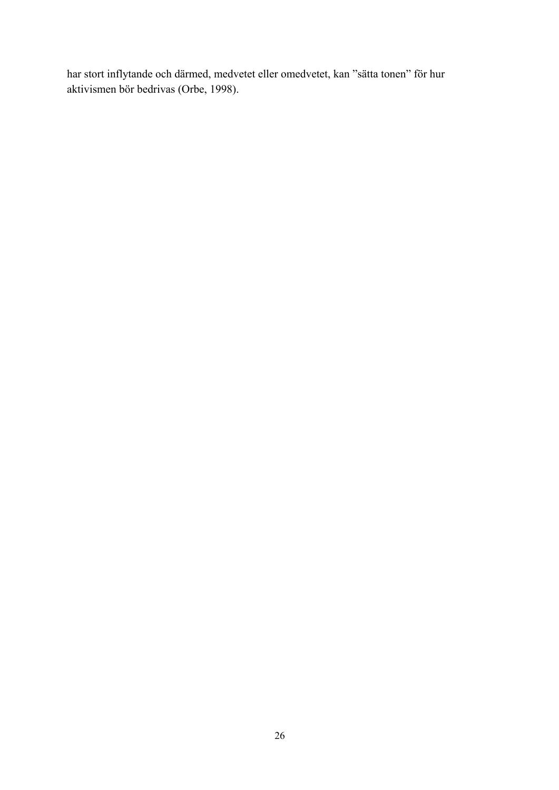har stort inflytande och därmed, medvetet eller omedvetet, kan "sätta tonen" för hur aktivismen bör bedrivas (Orbe, 1998).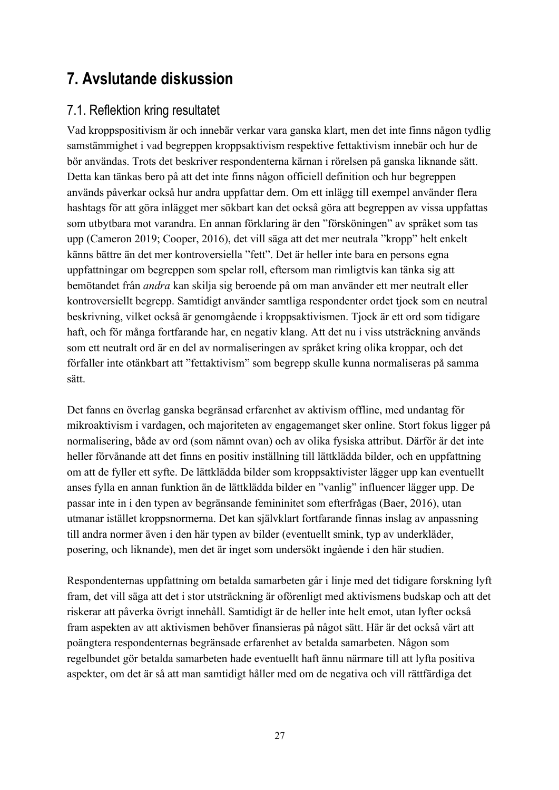# **7. Avslutande diskussion**

### 7.1. Reflektion kring resultatet

Vad kroppspositivism är och innebär verkar vara ganska klart, men det inte finns någon tydlig samstämmighet i vad begreppen kroppsaktivism respektive fettaktivism innebär och hur de bör användas. Trots det beskriver respondenterna kärnan i rörelsen på ganska liknande sätt. Detta kan tänkas bero på att det inte finns någon officiell definition och hur begreppen används påverkar också hur andra uppfattar dem. Om ett inlägg till exempel använder flera hashtags för att göra inlägget mer sökbart kan det också göra att begreppen av vissa uppfattas som utbytbara mot varandra. En annan förklaring är den "försköningen" av språket som tas upp (Cameron 2019; Cooper, 2016), det vill säga att det mer neutrala "kropp" helt enkelt känns bättre än det mer kontroversiella "fett". Det är heller inte bara en persons egna uppfattningar om begreppen som spelar roll, eftersom man rimligtvis kan tänka sig att bemötandet från *andra* kan skilja sig beroende på om man använder ett mer neutralt eller kontroversiellt begrepp. Samtidigt använder samtliga respondenter ordet tjock som en neutral beskrivning, vilket också är genomgående i kroppsaktivismen. Tjock är ett ord som tidigare haft, och för många fortfarande har, en negativ klang. Att det nu i viss utsträckning används som ett neutralt ord är en del av normaliseringen av språket kring olika kroppar, och det förfaller inte otänkbart att "fettaktivism" som begrepp skulle kunna normaliseras på samma sätt.

Det fanns en överlag ganska begränsad erfarenhet av aktivism offline, med undantag för mikroaktivism i vardagen, och majoriteten av engagemanget sker online. Stort fokus ligger på normalisering, både av ord (som nämnt ovan) och av olika fysiska attribut. Därför är det inte heller förvånande att det finns en positiv inställning till lättklädda bilder, och en uppfattning om att de fyller ett syfte. De lättklädda bilder som kroppsaktivister lägger upp kan eventuellt anses fylla en annan funktion än de lättklädda bilder en "vanlig" influencer lägger upp. De passar inte in i den typen av begränsande femininitet som efterfrågas (Baer, 2016), utan utmanar istället kroppsnormerna. Det kan självklart fortfarande finnas inslag av anpassning till andra normer även i den här typen av bilder (eventuellt smink, typ av underkläder, posering, och liknande), men det är inget som undersökt ingående i den här studien.

Respondenternas uppfattning om betalda samarbeten går i linje med det tidigare forskning lyft fram, det vill säga att det i stor utsträckning är oförenligt med aktivismens budskap och att det riskerar att påverka övrigt innehåll. Samtidigt är de heller inte helt emot, utan lyfter också fram aspekten av att aktivismen behöver finansieras på något sätt. Här är det också värt att poängtera respondenternas begränsade erfarenhet av betalda samarbeten. Någon som regelbundet gör betalda samarbeten hade eventuellt haft ännu närmare till att lyfta positiva aspekter, om det är så att man samtidigt håller med om de negativa och vill rättfärdiga det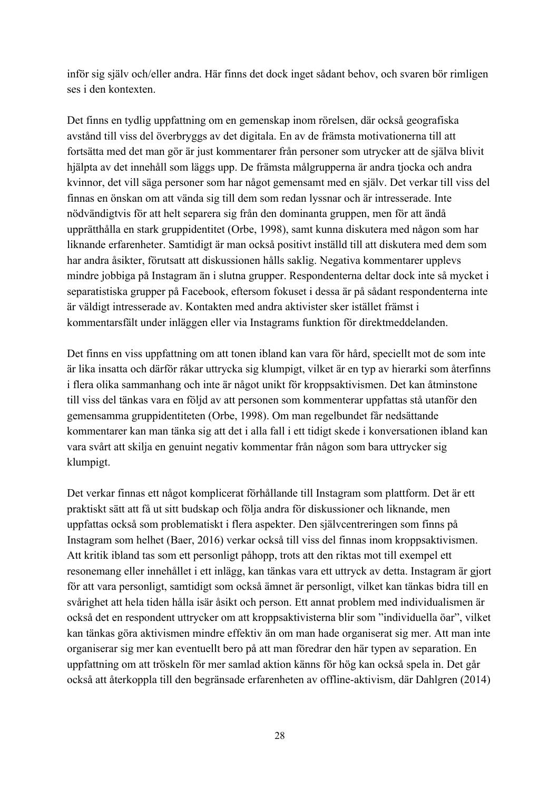inför sig själv och/eller andra. Här finns det dock inget sådant behov, och svaren bör rimligen ses i den kontexten.

Det finns en tydlig uppfattning om en gemenskap inom rörelsen, där också geografiska avstånd till viss del överbryggs av det digitala. En av de främsta motivationerna till att fortsätta med det man gör är just kommentarer från personer som utrycker att de själva blivit hjälpta av det innehåll som läggs upp. De främsta målgrupperna är andra tjocka och andra kvinnor, det vill säga personer som har något gemensamt med en själv. Det verkar till viss del finnas en önskan om att vända sig till dem som redan lyssnar och är intresserade. Inte nödvändigtvis för att helt separera sig från den dominanta gruppen, men för att ändå upprätthålla en stark gruppidentitet (Orbe, 1998), samt kunna diskutera med någon som har liknande erfarenheter. Samtidigt är man också positivt inställd till att diskutera med dem som har andra åsikter, förutsatt att diskussionen hålls saklig. Negativa kommentarer upplevs mindre jobbiga på Instagram än i slutna grupper. Respondenterna deltar dock inte så mycket i separatistiska grupper på Facebook, eftersom fokuset i dessa är på sådant respondenterna inte är väldigt intresserade av. Kontakten med andra aktivister sker istället främst i kommentarsfält under inläggen eller via Instagrams funktion för direktmeddelanden.

Det finns en viss uppfattning om att tonen ibland kan vara för hård, speciellt mot de som inte är lika insatta och därför råkar uttrycka sig klumpigt, vilket är en typ av hierarki som återfinns i flera olika sammanhang och inte är något unikt för kroppsaktivismen. Det kan åtminstone till viss del tänkas vara en följd av att personen som kommenterar uppfattas stå utanför den gemensamma gruppidentiteten (Orbe, 1998). Om man regelbundet får nedsättande kommentarer kan man tänka sig att det i alla fall i ett tidigt skede i konversationen ibland kan vara svårt att skilja en genuint negativ kommentar från någon som bara uttrycker sig klumpigt.

Det verkar finnas ett något komplicerat förhållande till Instagram som plattform. Det är ett praktiskt sätt att få ut sitt budskap och följa andra för diskussioner och liknande, men uppfattas också som problematiskt i flera aspekter. Den självcentreringen som finns på Instagram som helhet (Baer, 2016) verkar också till viss del finnas inom kroppsaktivismen. Att kritik ibland tas som ett personligt påhopp, trots att den riktas mot till exempel ett resonemang eller innehållet i ett inlägg, kan tänkas vara ett uttryck av detta. Instagram är gjort för att vara personligt, samtidigt som också ämnet är personligt, vilket kan tänkas bidra till en svårighet att hela tiden hålla isär åsikt och person. Ett annat problem med individualismen är också det en respondent uttrycker om att kroppsaktivisterna blir som "individuella öar", vilket kan tänkas göra aktivismen mindre effektiv än om man hade organiserat sig mer. Att man inte organiserar sig mer kan eventuellt bero på att man föredrar den här typen av separation. En uppfattning om att tröskeln för mer samlad aktion känns för hög kan också spela in. Det går också att återkoppla till den begränsade erfarenheten av offline-aktivism, där Dahlgren (2014)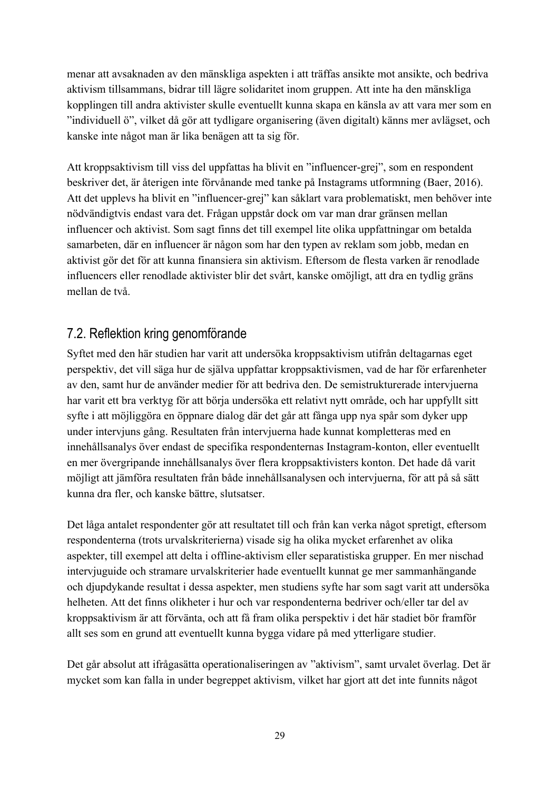menar att avsaknaden av den mänskliga aspekten i att träffas ansikte mot ansikte, och bedriva aktivism tillsammans, bidrar till lägre solidaritet inom gruppen. Att inte ha den mänskliga kopplingen till andra aktivister skulle eventuellt kunna skapa en känsla av att vara mer som en "individuell ö", vilket då gör att tydligare organisering (även digitalt) känns mer avlägset, och kanske inte något man är lika benägen att ta sig för.

Att kroppsaktivism till viss del uppfattas ha blivit en "influencer-grej", som en respondent beskriver det, är återigen inte förvånande med tanke på Instagrams utformning (Baer, 2016). Att det upplevs ha blivit en "influencer-grej" kan såklart vara problematiskt, men behöver inte nödvändigtvis endast vara det. Frågan uppstår dock om var man drar gränsen mellan influencer och aktivist. Som sagt finns det till exempel lite olika uppfattningar om betalda samarbeten, där en influencer är någon som har den typen av reklam som jobb, medan en aktivist gör det för att kunna finansiera sin aktivism. Eftersom de flesta varken är renodlade influencers eller renodlade aktivister blir det svårt, kanske omöjligt, att dra en tydlig gräns mellan de två.

# 7.2. Reflektion kring genomförande

Syftet med den här studien har varit att undersöka kroppsaktivism utifrån deltagarnas eget perspektiv, det vill säga hur de själva uppfattar kroppsaktivismen, vad de har för erfarenheter av den, samt hur de använder medier för att bedriva den. De semistrukturerade intervjuerna har varit ett bra verktyg för att börja undersöka ett relativt nytt område, och har uppfyllt sitt syfte i att möjliggöra en öppnare dialog där det går att fånga upp nya spår som dyker upp under intervjuns gång. Resultaten från intervjuerna hade kunnat kompletteras med en innehållsanalys över endast de specifika respondenternas Instagram-konton, eller eventuellt en mer övergripande innehållsanalys över flera kroppsaktivisters konton. Det hade då varit möjligt att jämföra resultaten från både innehållsanalysen och intervjuerna, för att på så sätt kunna dra fler, och kanske bättre, slutsatser.

Det låga antalet respondenter gör att resultatet till och från kan verka något spretigt, eftersom respondenterna (trots urvalskriterierna) visade sig ha olika mycket erfarenhet av olika aspekter, till exempel att delta i offline-aktivism eller separatistiska grupper. En mer nischad intervjuguide och stramare urvalskriterier hade eventuellt kunnat ge mer sammanhängande och djupdykande resultat i dessa aspekter, men studiens syfte har som sagt varit att undersöka helheten. Att det finns olikheter i hur och var respondenterna bedriver och/eller tar del av kroppsaktivism är att förvänta, och att få fram olika perspektiv i det här stadiet bör framför allt ses som en grund att eventuellt kunna bygga vidare på med ytterligare studier.

Det går absolut att ifrågasätta operationaliseringen av "aktivism", samt urvalet överlag. Det är mycket som kan falla in under begreppet aktivism, vilket har gjort att det inte funnits något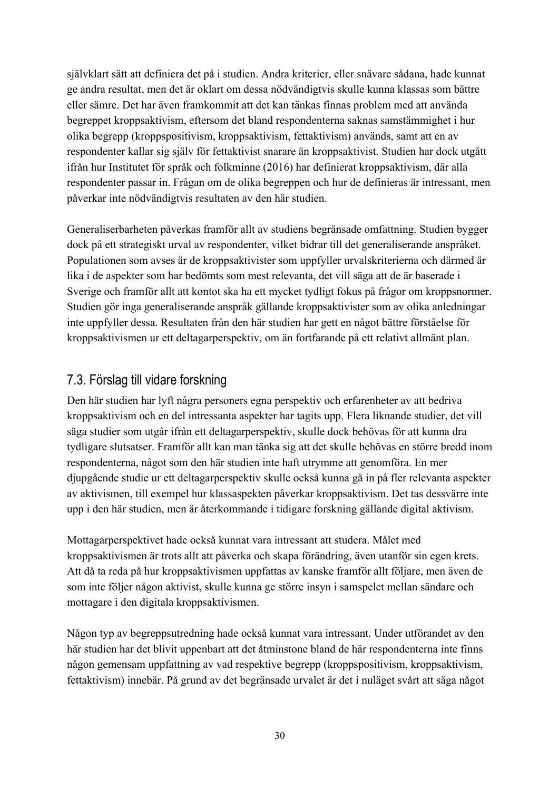självklart sätt att definiera det på i studien. Andra kriterier, eller snävare sådana, hade kunnat ge andra resultat, men det är oklart om dessa nödvändigtvis skulle kunna klassas som bättre eller sämre. Det har även framkommit att det kan tänkas finnas problem med att använda begreppet kroppsaktivism, eftersom det bland respondenterna saknas samstämmighet i hur olika begrepp (kroppspositivism, kroppsaktivism, fettaktivism) används, samt att en av respondenter kallar sig själv för fettaktivist snarare än kroppsaktivist. Studien har dock utgått ifrån hur Institutet för språk och folkminne (2016) har definierat kroppsaktivism, där alla respondenter passar in. Frågan om de olika begreppen och hur de definieras är intressant, men påverkar inte nödvändigtvis resultaten av den här studien.

Generaliserbarheten påverkas framför allt av studiens begränsade omfattning. Studien bygger dock på ett strategiskt urval av respondenter, vilket bidrar till det generaliserande anspråket. Populationen som avses är de kroppsaktivister som uppfyller urvalskriterierna och därmed är lika i de aspekter som har bedömts som mest relevanta, det vill säga att de är baserade i Sverige och framför allt att kontot ska ha ett mycket tydligt fokus på frågor om kroppsnormer. Studien gör inga generaliserande anspråk gällande kroppsaktivister som av olika anledningar inte uppfyller dessa. Resultaten från den här studien har gett en något bättre förståelse för kroppsaktivismen ur ett deltagarperspektiv, om än fortfarande på ett relativt allmänt plan.

### 7.3. Förslag till vidare forskning

Den här studien har lyft några personers egna perspektiv och erfarenheter av att bedriva kroppsaktivism och en del intressanta aspekter har tagits upp. Flera liknande studier, det vill säga studier som utgår ifrån ett deltagarperspektiv, skulle dock behövas för att kunna dra tydligare slutsatser. Framför allt kan man tänka sig att det skulle behövas en större bredd inom respondenterna, något som den här studien inte haft utrymme att genomföra. En mer djupgående studie ur ett deltagarperspektiv skulle också kunna gå in på fler relevanta aspekter av aktivismen, till exempel hur klassaspekten påverkar kroppsaktivism. Det tas dessvärre inte upp i den här studien, men är återkommande i tidigare forskning gällande digital aktivism.

Mottagarperspektivet hade också kunnat vara intressant att studera. Målet med kroppsaktivismen är trots allt att påverka och skapa förändring, även utanför sin egen krets. Att då ta reda på hur kroppsaktivismen uppfattas av kanske framför allt följare, men även de som inte följer någon aktivist, skulle kunna ge större insyn i samspelet mellan sändare och mottagare i den digitala kroppsaktivismen.

Någon typ av begreppsutredning hade också kunnat vara intressant. Under utförandet av den här studien har det blivit uppenbart att det åtminstone bland de här respondenterna inte finns någon gemensam uppfattning av vad respektive begrepp (kroppspositivism, kroppsaktivism, fettaktivism) innebär. På grund av det begränsade urvalet är det i nuläget svårt att säga något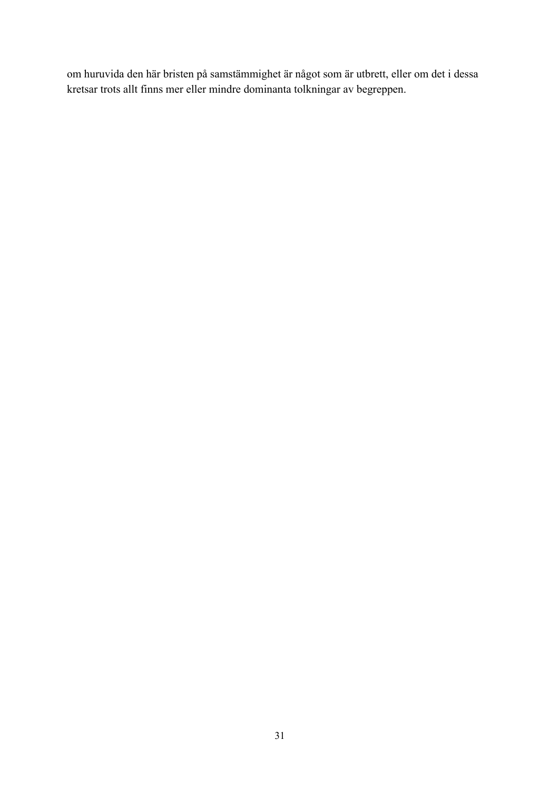om huruvida den här bristen på samstämmighet är något som är utbrett, eller om det i dessa kretsar trots allt finns mer eller mindre dominanta tolkningar av begreppen.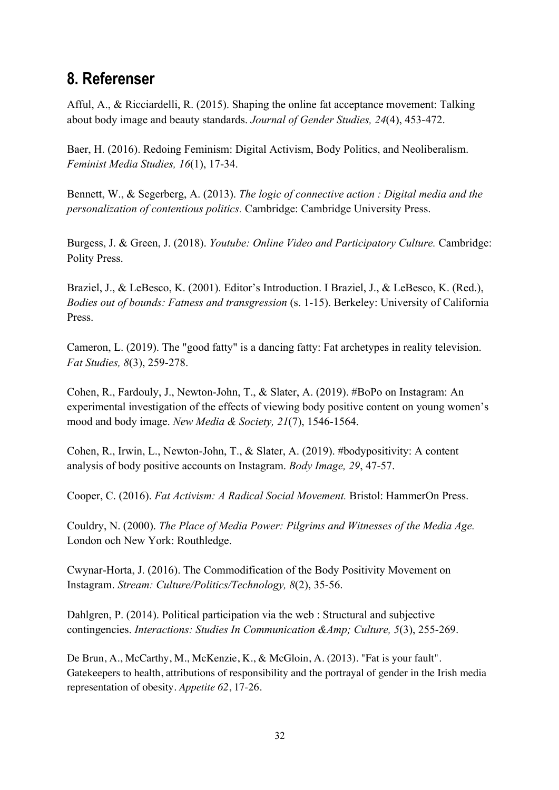# **8. Referenser**

Afful, A., & Ricciardelli, R. (2015). Shaping the online fat acceptance movement: Talking about body image and beauty standards. *Journal of Gender Studies, 24*(4), 453-472.

Baer, H. (2016). Redoing Feminism: Digital Activism, Body Politics, and Neoliberalism. *Feminist Media Studies, 16*(1), 17-34.

Bennett, W., & Segerberg, A. (2013). *The logic of connective action : Digital media and the personalization of contentious politics.* Cambridge: Cambridge University Press.

Burgess, J. & Green, J. (2018). *Youtube: Online Video and Participatory Culture.* Cambridge: Polity Press.

Braziel, J., & LeBesco, K. (2001). Editor's Introduction. I Braziel, J., & LeBesco, K. (Red.), *Bodies out of bounds: Fatness and transgression* (s. 1-15). Berkeley: University of California Press.

Cameron, L. (2019). The "good fatty" is a dancing fatty: Fat archetypes in reality television. *Fat Studies, 8*(3), 259-278.

Cohen, R., Fardouly, J., Newton-John, T., & Slater, A. (2019). #BoPo on Instagram: An experimental investigation of the effects of viewing body positive content on young women's mood and body image. *New Media & Society, 21*(7), 1546-1564.

Cohen, R., Irwin, L., Newton-John, T., & Slater, A. (2019). #bodypositivity: A content analysis of body positive accounts on Instagram. *Body Image, 29*, 47-57.

Cooper, C. (2016). *Fat Activism: A Radical Social Movement.* Bristol: HammerOn Press.

Couldry, N. (2000). *The Place of Media Power: Pilgrims and Witnesses of the Media Age.* London och New York: Routhledge.

Cwynar-Horta, J. (2016). The Commodification of the Body Positivity Movement on Instagram. *Stream: Culture/Politics/Technology, 8*(2), 35-56.

Dahlgren, P. (2014). Political participation via the web : Structural and subjective contingencies. *Interactions: Studies In Communication &Amp; Culture, 5*(3), 255-269.

De Brun, A., McCarthy, M., McKenzie, K., & McGloin, A. (2013). "Fat is your fault". Gatekeepers to health, attributions of responsibility and the portrayal of gender in the Irish media representation of obesity. *Appetite 62*, 17-26.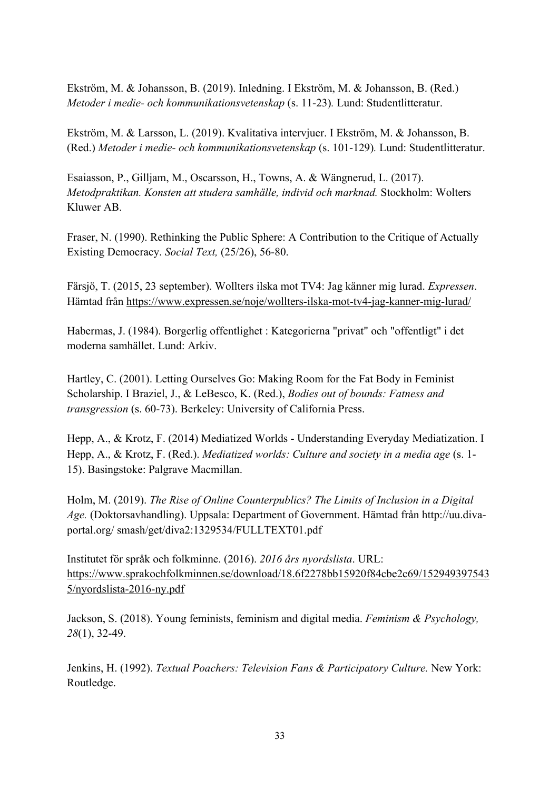Ekström, M. & Johansson, B. (2019). Inledning. I Ekström, M. & Johansson, B. (Red.) *Metoder i medie- och kommunikationsvetenskap* (s. 11-23)*.* Lund: Studentlitteratur.

Ekström, M. & Larsson, L. (2019). Kvalitativa intervjuer. I Ekström, M. & Johansson, B. (Red.) *Metoder i medie- och kommunikationsvetenskap* (s. 101-129)*.* Lund: Studentlitteratur.

Esaiasson, P., Gilljam, M., Oscarsson, H., Towns, A. & Wängnerud, L. (2017). *Metodpraktikan. Konsten att studera samhälle, individ och marknad.* Stockholm: Wolters Kluwer AB.

Fraser, N. (1990). Rethinking the Public Sphere: A Contribution to the Critique of Actually Existing Democracy. *Social Text,* (25/26), 56-80.

Färsjö, T. (2015, 23 september). Wollters ilska mot TV4: Jag känner mig lurad. *Expressen*. Hämtad från https://www.expressen.se/noje/wollters-ilska-mot-tv4-jag-kanner-mig-lurad/

Habermas, J. (1984). Borgerlig offentlighet : Kategorierna "privat" och "offentligt" i det moderna samhället. Lund: Arkiv.

Hartley, C. (2001). Letting Ourselves Go: Making Room for the Fat Body in Feminist Scholarship. I Braziel, J., & LeBesco, K. (Red.), *Bodies out of bounds: Fatness and transgression* (s. 60-73). Berkeley: University of California Press.

Hepp, A., & Krotz, F. (2014) Mediatized Worlds - Understanding Everyday Mediatization. I Hepp, A., & Krotz, F. (Red.). *Mediatized worlds: Culture and society in a media age* (s. 1- 15). Basingstoke: Palgrave Macmillan.

Holm, M. (2019). *The Rise of Online Counterpublics? The Limits of Inclusion in a Digital Age.* (Doktorsavhandling). Uppsala: Department of Government. Hämtad från http://uu.divaportal.org/ smash/get/diva2:1329534/FULLTEXT01.pdf

Institutet för språk och folkminne. (2016). *2016 års nyordslista*. URL: https://www.sprakochfolkminnen.se/download/18.6f2278bb15920f84cbe2c69/152949397543 5/nyordslista-2016-ny.pdf

Jackson, S. (2018). Young feminists, feminism and digital media. *Feminism & Psychology, 28*(1), 32-49.

Jenkins, H. (1992). *Textual Poachers: Television Fans & Participatory Culture.* New York: Routledge.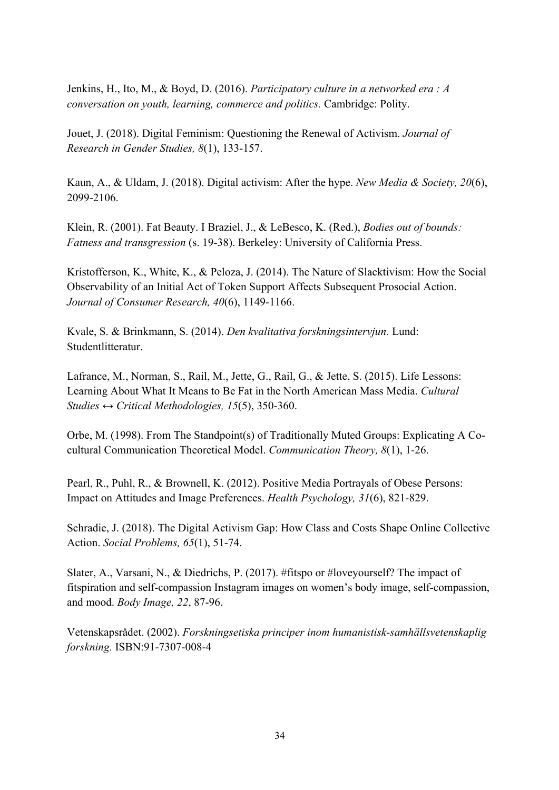Jenkins, H., Ito, M., & Boyd, D. (2016). *Participatory culture in a networked era : A conversation on youth, learning, commerce and politics.* Cambridge: Polity.

Jouet, J. (2018). Digital Feminism: Questioning the Renewal of Activism. *Journal of Research in Gender Studies, 8*(1), 133-157.

Kaun, A., & Uldam, J. (2018). Digital activism: After the hype. *New Media & Society, 20*(6), 2099-2106.

Klein, R. (2001). Fat Beauty. I Braziel, J., & LeBesco, K. (Red.), *Bodies out of bounds: Fatness and transgression* (s. 19-38). Berkeley: University of California Press.

Kristofferson, K., White, K., & Peloza, J. (2014). The Nature of Slacktivism: How the Social Observability of an Initial Act of Token Support Affects Subsequent Prosocial Action. *Journal of Consumer Research, 40*(6), 1149-1166.

Kvale, S. & Brinkmann, S. (2014). *Den kvalitativa forskningsintervjun.* Lund: Studentlitteratur.

Lafrance, M., Norman, S., Rail, M., Jette, G., Rail, G., & Jette, S. (2015). Life Lessons: Learning About What It Means to Be Fat in the North American Mass Media. *Cultural Studies ↔ Critical Methodologies, 15*(5), 350-360.

Orbe, M. (1998). From The Standpoint(s) of Traditionally Muted Groups: Explicating A Co‐ cultural Communication Theoretical Model. *Communication Theory, 8*(1), 1-26.

Pearl, R., Puhl, R., & Brownell, K. (2012). Positive Media Portrayals of Obese Persons: Impact on Attitudes and Image Preferences. *Health Psychology, 31*(6), 821-829.

Schradie, J. (2018). The Digital Activism Gap: How Class and Costs Shape Online Collective Action. *Social Problems, 65*(1), 51-74.

Slater, A., Varsani, N., & Diedrichs, P. (2017). #fitspo or #loveyourself? The impact of fitspiration and self-compassion Instagram images on women's body image, self-compassion, and mood. *Body Image, 22*, 87-96.

Vetenskapsrådet. (2002). *Forskningsetiska principer inom humanistisk-samhällsvetenskaplig forskning.* ISBN:91-7307-008-4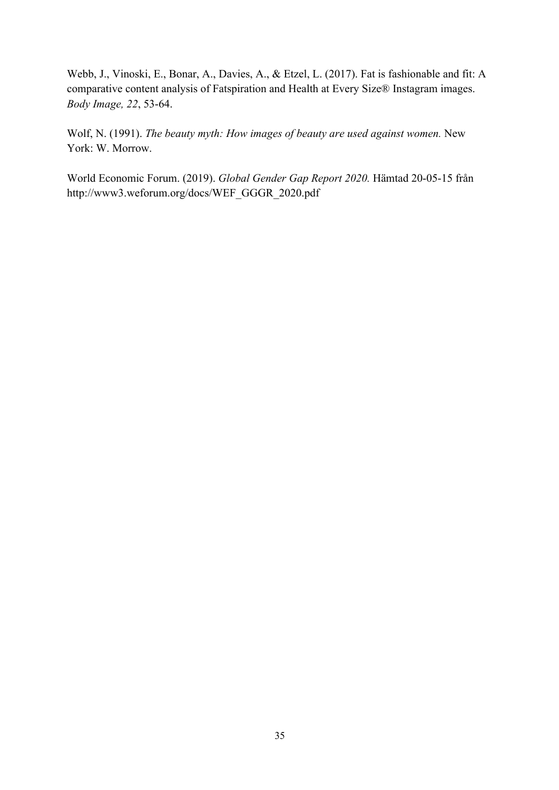Webb, J., Vinoski, E., Bonar, A., Davies, A., & Etzel, L. (2017). Fat is fashionable and fit: A comparative content analysis of Fatspiration and Health at Every Size® Instagram images. *Body Image, 22*, 53-64.

Wolf, N. (1991). *The beauty myth: How images of beauty are used against women.* New York: W. Morrow.

World Economic Forum. (2019). *Global Gender Gap Report 2020.* Hämtad 20-05-15 från http://www3.weforum.org/docs/WEF\_GGGR\_2020.pdf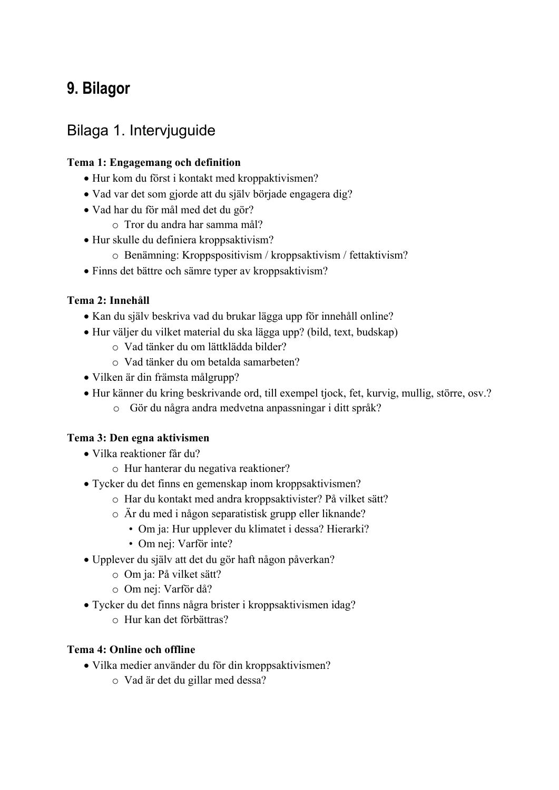# **9. Bilagor**

# Bilaga 1. Intervjuguide

#### **Tema 1: Engagemang och definition**

- Hur kom du först i kontakt med kroppaktivismen?
- Vad var det som gjorde att du själv började engagera dig?
- Vad har du för mål med det du gör?
	- o Tror du andra har samma mål?
- Hur skulle du definiera kroppsaktivism?
	- o Benämning: Kroppspositivism / kroppsaktivism / fettaktivism?
- Finns det bättre och sämre typer av kroppsaktivism?

#### **Tema 2: Innehåll**

- Kan du själv beskriva vad du brukar lägga upp för innehåll online?
- Hur väljer du vilket material du ska lägga upp? (bild, text, budskap)
	- o Vad tänker du om lättklädda bilder?
	- o Vad tänker du om betalda samarbeten?
- Vilken är din främsta målgrupp?
- Hur känner du kring beskrivande ord, till exempel tjock, fet, kurvig, mullig, större, osv.?
	- o Gör du några andra medvetna anpassningar i ditt språk?

#### **Tema 3: Den egna aktivismen**

- Vilka reaktioner får du?
	- o Hur hanterar du negativa reaktioner?
- Tycker du det finns en gemenskap inom kroppsaktivismen?
	- o Har du kontakt med andra kroppsaktivister? På vilket sätt?
	- o Är du med i någon separatistisk grupp eller liknande?
		- Om ja: Hur upplever du klimatet i dessa? Hierarki?
		- Om nej: Varför inte?
- Upplever du själv att det du gör haft någon påverkan?
	- o Om ja: På vilket sätt?
	- o Om nej: Varför då?
- Tycker du det finns några brister i kroppsaktivismen idag?
	- o Hur kan det förbättras?

#### **Tema 4: Online och offline**

- Vilka medier använder du för din kroppsaktivismen?
	- o Vad är det du gillar med dessa?